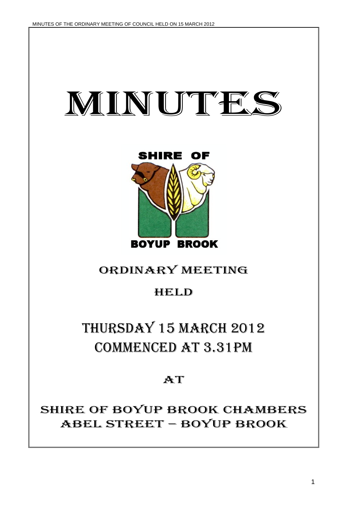



# ORDINARY MEETING

# HELD

# THURSDAY 15 MARCH 2012 COMMENCED AT 3.31PM

# **AT**

# SHIRE OF BOYUP BROOK CHAMBERS ABEL STREET – BOYUP BROOK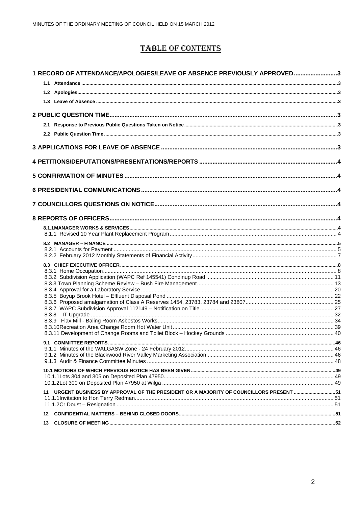# **TABLE OF CONTENTS**

| 1 RECORD OF ATTENDANCE/APOLOGIES/LEAVE OF ABSENCE PREVIOUSLY APPROVED3                     |  |
|--------------------------------------------------------------------------------------------|--|
|                                                                                            |  |
|                                                                                            |  |
|                                                                                            |  |
|                                                                                            |  |
|                                                                                            |  |
|                                                                                            |  |
|                                                                                            |  |
|                                                                                            |  |
|                                                                                            |  |
|                                                                                            |  |
|                                                                                            |  |
|                                                                                            |  |
|                                                                                            |  |
|                                                                                            |  |
|                                                                                            |  |
|                                                                                            |  |
|                                                                                            |  |
|                                                                                            |  |
|                                                                                            |  |
|                                                                                            |  |
|                                                                                            |  |
|                                                                                            |  |
|                                                                                            |  |
|                                                                                            |  |
|                                                                                            |  |
|                                                                                            |  |
|                                                                                            |  |
|                                                                                            |  |
|                                                                                            |  |
|                                                                                            |  |
|                                                                                            |  |
|                                                                                            |  |
|                                                                                            |  |
|                                                                                            |  |
|                                                                                            |  |
|                                                                                            |  |
|                                                                                            |  |
| URGENT BUSINESS BY APPROVAL OF THE PRESIDENT OR A MAJORITY OF COUNCILLORS PRESENT 51<br>11 |  |
|                                                                                            |  |
|                                                                                            |  |
| 12                                                                                         |  |
| 13                                                                                         |  |
|                                                                                            |  |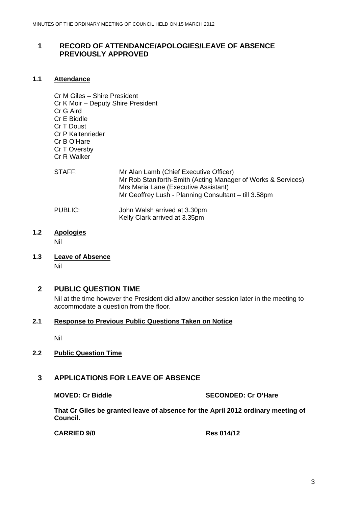# <span id="page-2-0"></span>**1 RECORD OF ATTENDANCE/APOLOGIES/LEAVE OF ABSENCE PREVIOUSLY APPROVED**

# **1.1 Attendance**

Cr M Giles – Shire President Cr K Moir – Deputy Shire President Cr G Aird Cr E Biddle Cr T Doust Cr P Kaltenrieder Cr B O'Hare Cr T Oversby Cr R Walker

| STAFF:  | Mr Alan Lamb (Chief Executive Officer)<br>Mr Rob Staniforth-Smith (Acting Manager of Works & Services)<br>Mrs Maria Lane (Executive Assistant)<br>Mr Geoffrey Lush - Planning Consultant - till 3.58pm |
|---------|--------------------------------------------------------------------------------------------------------------------------------------------------------------------------------------------------------|
| PUBLIC: | John Walsh arrived at 3.30pm<br>Kelly Clark arrived at 3.35pm                                                                                                                                          |

**1.2 Apologies** 

Nil

**1.3 Leave of Absence** Nil

**2 PUBLIC QUESTION TIME** 

Nil at the time however the President did allow another session later in the meeting to accommodate a question from the floor.

# **2.1 Response to Previous Public Questions Taken on Notice**

Nil

# **2.2 Public Question Time**

# **3 APPLICATIONS FOR LEAVE OF ABSENCE**

**MOVED: Cr Biddle SECONDED: Cr O'Hare** 

**That Cr Giles be granted leave of absence for the April 2012 ordinary meeting of Council.** 

**CARRIED 9/0 Res 014/12**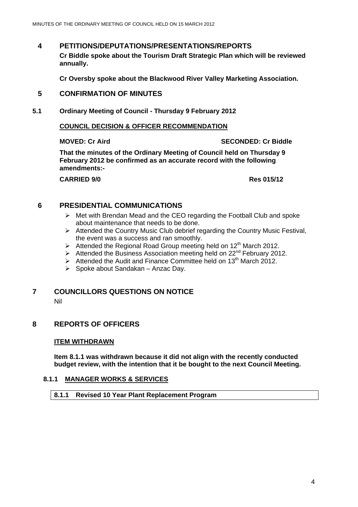# <span id="page-3-0"></span>**4 PETITIONS/DEPUTATIONS/PRESENTATIONS/REPORTS**

**Cr Biddle spoke about the Tourism Draft Strategic Plan which will be reviewed annually.** 

**Cr Oversby spoke about the Blackwood River Valley Marketing Association.** 

# **5 CONFIRMATION OF MINUTES**

**5.1 Ordinary Meeting of Council - Thursday 9 February 2012** 

### **COUNCIL DECISION & OFFICER RECOMMENDATION**

# **MOVED: Cr Aird SECONDED: Cr Biddle**

**That the minutes of the Ordinary Meeting of Council held on Thursday 9 February 2012 be confirmed as an accurate record with the following amendments:-** 

**CARRIED 9/0 Res 015/12** 

# **6 PRESIDENTIAL COMMUNICATIONS**

- $\triangleright$  Met with Brendan Mead and the CEO regarding the Football Club and spoke about maintenance that needs to be done.
- $\triangleright$  Attended the Country Music Club debrief regarding the Country Music Festival, the event was a success and ran smoothly.
- $\triangleright$  Attended the Regional Road Group meeting held on 12<sup>th</sup> March 2012.
- $\triangleright$  Attended the Business Association meeting held on 22<sup>nd</sup> February 2012.
- $\triangleright$  Attended the Audit and Finance Committee held on 13<sup>th</sup> March 2012.
- $\triangleright$  Spoke about Sandakan Anzac Day.

# **7 COUNCILLORS QUESTIONS ON NOTICE**

Nil

# **8 REPORTS OF OFFICERS**

#### **ITEM WITHDRAWN**

**Item 8.1.1 was withdrawn because it did not align with the recently conducted budget review, with the intention that it be bought to the next Council Meeting.** 

# **8.1.1 MANAGER WORKS & SERVICES**

# **8.1.1 Revised 10 Year Plant Replacement Program**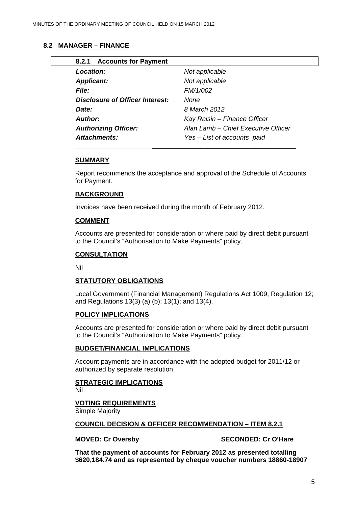# <span id="page-4-0"></span>**8.2 MANAGER – FINANCE**

| 8.2.1 Accounts for Payment      |                                     |
|---------------------------------|-------------------------------------|
| <b>Location:</b>                | Not applicable                      |
| <b>Applicant:</b>               | Not applicable                      |
| <b>File:</b>                    | FM/1/002                            |
| Disclosure of Officer Interest: | None                                |
| Date:                           | 8 March 2012                        |
| Author:                         | Kay Raisin - Finance Officer        |
| <b>Authorizing Officer:</b>     | Alan Lamb - Chief Executive Officer |
| <b>Attachments:</b>             | Yes - List of accounts paid         |

### **SUMMARY**

Report recommends the acceptance and approval of the Schedule of Accounts for Payment.

### **BACKGROUND**

Invoices have been received during the month of February 2012.

### **COMMENT**

Accounts are presented for consideration or where paid by direct debit pursuant to the Council's "Authorisation to Make Payments" policy.

#### **CONSULTATION**

Nil

# **STATUTORY OBLIGATIONS**

Local Government (Financial Management) Regulations Act 1009, Regulation 12; and Regulations 13(3) (a) (b); 13(1); and 13(4).

#### **POLICY IMPLICATIONS**

Accounts are presented for consideration or where paid by direct debit pursuant to the Council's "Authorization to Make Payments" policy.

#### **BUDGET/FINANCIAL IMPLICATIONS**

Account payments are in accordance with the adopted budget for 2011/12 or authorized by separate resolution.

# **STRATEGIC IMPLICATIONS**

Nil

# **VOTING REQUIREMENTS**

Simple Majority

#### **COUNCIL DECISION & OFFICER RECOMMENDATION – ITEM 8.2.1**

#### **MOVED: Cr Oversby SECONDED: Cr O'Hare**

**That the payment of accounts for February 2012 as presented totalling \$620,184.74 and as represented by cheque voucher numbers 18860-18907**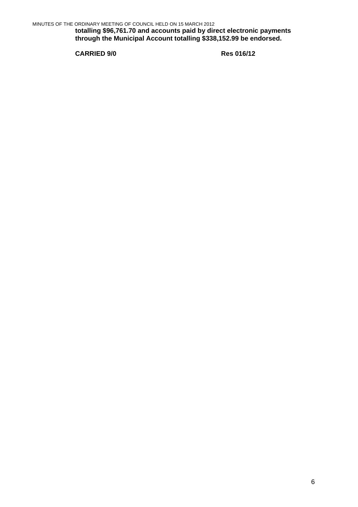**totalling \$96,761.70 and accounts paid by direct electronic payments through the Municipal Account totalling \$338,152.99 be endorsed.** 

**CARRIED 9/0 Res 016/12**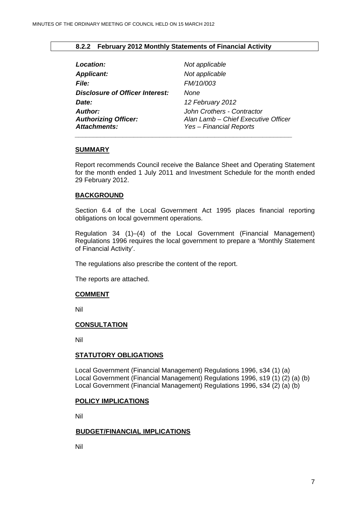# **8.2.2 February 2012 Monthly Statements of Financial Activity**

<span id="page-6-0"></span>

| Location:                       | Not applicable                      |
|---------------------------------|-------------------------------------|
| <b>Applicant:</b>               | Not applicable                      |
| <i>File:</i>                    | FM/10/003                           |
| Disclosure of Officer Interest: | <b>None</b>                         |
| Date:                           | 12 February 2012                    |
| Author:                         | John Crothers - Contractor          |
| <b>Authorizing Officer:</b>     | Alan Lamb - Chief Executive Officer |
| <b>Attachments:</b>             | Yes - Financial Reports             |

### **SUMMARY**

Report recommends Council receive the Balance Sheet and Operating Statement for the month ended 1 July 2011 and Investment Schedule for the month ended 29 February 2012.

# **BACKGROUND**

Section 6.4 of the Local Government Act 1995 places financial reporting obligations on local government operations.

Regulation 34 (1)–(4) of the Local Government (Financial Management) Regulations 1996 requires the local government to prepare a 'Monthly Statement of Financial Activity'.

The regulations also prescribe the content of the report.

The reports are attached.

#### **COMMENT**

Nil

#### **CONSULTATION**

Nil

#### **STATUTORY OBLIGATIONS**

Local Government (Financial Management) Regulations 1996, s34 (1) (a) Local Government (Financial Management) Regulations 1996, s19 (1) (2) (a) (b) Local Government (Financial Management) Regulations 1996, s34 (2) (a) (b)

#### **POLICY IMPLICATIONS**

Nil

#### **BUDGET/FINANCIAL IMPLICATIONS**

Nil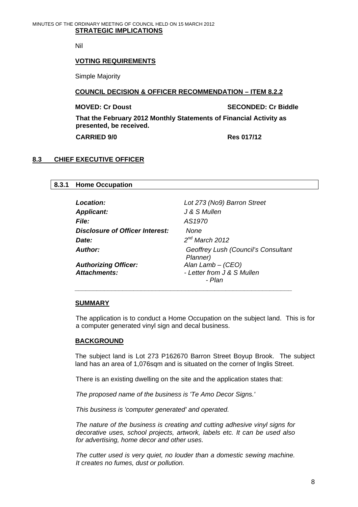#### <span id="page-7-0"></span>MINUTES OF THE ORDINARY MEETING OF COUNCIL HELD ON 15 MARCH 2012 **STRATEGIC IMPLICATIONS**

Nil

#### **VOTING REQUIREMENTS**

Simple Majority

#### **COUNCIL DECISION & OFFICER RECOMMENDATION – ITEM 8.2.2**

**MOVED: Cr Doust Critics** SECONDED: Cr Biddle

**That the February 2012 Monthly Statements of Financial Activity as presented, be received.** 

 **CARRIED 9/0 Res 017/12** 

# **8.3 CHIEF EXECUTIVE OFFICER**

### **8.3.1 Home Occupation**

| <b>Location:</b>                | Lot 273 (No9) Barron Street                     |
|---------------------------------|-------------------------------------------------|
| <b>Applicant:</b>               | J & S Mullen                                    |
| <b>File:</b>                    | AS1970                                          |
| Disclosure of Officer Interest: | None                                            |
| Date:                           | $2^{nd}$ March 2012                             |
| Author:                         | Geoffrey Lush (Council's Consultant<br>Planner) |
| <b>Authorizing Officer:</b>     | Alan Lamb $-(CEO)$                              |
| Attachments:                    | - Letter from J & S Mullen                      |
|                                 | - Plan                                          |

#### **SUMMARY**

The application is to conduct a Home Occupation on the subject land. This is for a computer generated vinyl sign and decal business.

#### **BACKGROUND**

The subject land is Lot 273 P162670 Barron Street Boyup Brook. The subject land has an area of 1,076sqm and is situated on the corner of Inglis Street.

There is an existing dwelling on the site and the application states that:

 *The proposed name of the business is 'Te Amo Decor Signs.'* 

 *\_\_\_\_\_\_\_\_\_\_\_\_\_\_\_\_\_\_\_\_\_\_\_\_\_\_\_\_\_\_\_\_\_\_\_\_\_\_\_\_\_\_\_\_\_\_\_\_\_\_\_\_\_\_\_\_\_\_\_* 

*This business is 'computer generated' and operated.* 

*The nature of the business is creating and cutting adhesive vinyl signs for decorative uses, school projects, artwork, labels etc. It can be used also for advertising, home decor and other uses.* 

*The cutter used is very quiet, no louder than a domestic sewing machine. It creates no fumes, dust or pollution.*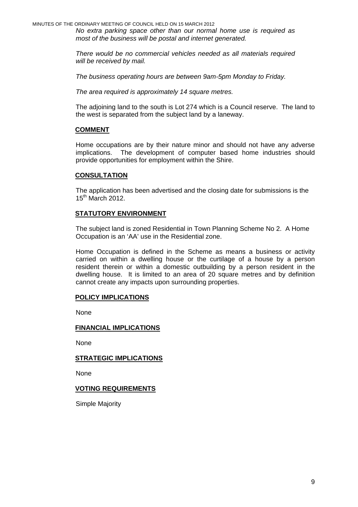MINUTES OF THE ORDINARY MEETING OF COUNCIL HELD ON 15 MARCH 2012

*No extra parking space other than our normal home use is required as most of the business will be postal and internet generated.* 

*There would be no commercial vehicles needed as all materials required will be received by mail.* 

*The business operating hours are between 9am-5pm Monday to Friday.* 

*The area required is approximately 14 square metres.* 

The adjoining land to the south is Lot 274 which is a Council reserve. The land to the west is separated from the subject land by a laneway.

# **COMMENT**

Home occupations are by their nature minor and should not have any adverse implications. The development of computer based home industries should provide opportunities for employment within the Shire.

### **CONSULTATION**

The application has been advertised and the closing date for submissions is the  $15^{\text{th}}$  March 2012.

# **STATUTORY ENVIRONMENT**

The subject land is zoned Residential in Town Planning Scheme No 2. A Home Occupation is an 'AA' use in the Residential zone.

Home Occupation is defined in the Scheme as means a business or activity carried on within a dwelling house or the curtilage of a house by a person resident therein or within a domestic outbuilding by a person resident in the dwelling house. It is limited to an area of 20 square metres and by definition cannot create any impacts upon surrounding properties.

#### **POLICY IMPLICATIONS**

None

#### **FINANCIAL IMPLICATIONS**

None

#### **STRATEGIC IMPLICATIONS**

None

#### **VOTING REQUIREMENTS**

Simple Majority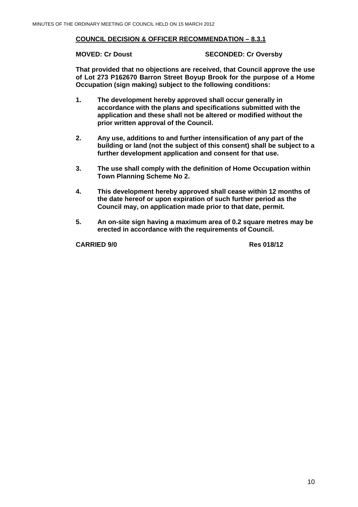# **COUNCIL DECISION & OFFICER RECOMMENDATION – 8.3.1**

**MOVED: Cr Doust SECONDED: Cr Oversby** 

**That provided that no objections are received, that Council approve the use of Lot 273 P162670 Barron Street Boyup Brook for the purpose of a Home Occupation (sign making) subject to the following conditions:** 

- **1. The development hereby approved shall occur generally in accordance with the plans and specifications submitted with the application and these shall not be altered or modified without the prior written approval of the Council.**
- **2. Any use, additions to and further intensification of any part of the building or land (not the subject of this consent) shall be subject to a further development application and consent for that use.**
- **3. The use shall comply with the definition of Home Occupation within Town Planning Scheme No 2.**
- **4. This development hereby approved shall cease within 12 months of the date hereof or upon expiration of such further period as the Council may, on application made prior to that date, permit.**
- **5. An on-site sign having a maximum area of 0.2 square metres may be erected in accordance with the requirements of Council.**

**CARRIED 9/0 Res 018/12**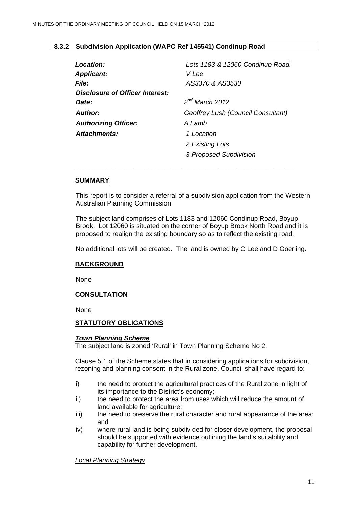# <span id="page-10-0"></span>**8.3.2 Subdivision Application (WAPC Ref 145541) Condinup Road**

 *\_\_\_\_\_\_\_\_\_\_\_\_\_\_\_\_\_\_\_\_\_\_\_\_\_\_\_\_\_\_\_\_\_\_\_\_\_\_\_\_\_\_\_\_\_\_\_\_\_\_\_\_\_\_\_\_\_\_\_* 

| Location:                       | Lots 1183 & 12060 Condinup Road.   |
|---------------------------------|------------------------------------|
| <b>Applicant:</b>               | V Lee                              |
| <b>File:</b>                    | AS3370 & AS3530                    |
| Disclosure of Officer Interest: |                                    |
| <b>Date:</b>                    | $2^{nd}$ March 2012                |
| <b>Author:</b>                  | Geoffrey Lush (Council Consultant) |
| <b>Authorizing Officer:</b>     | A Lamb                             |
| Attachments:                    | 1 Location                         |
|                                 | 2 Existing Lots                    |
|                                 | <b>3 Proposed Subdivision</b>      |

### **SUMMARY**

This report is to consider a referral of a subdivision application from the Western Australian Planning Commission.

The subject land comprises of Lots 1183 and 12060 Condinup Road, Boyup Brook. Lot 12060 is situated on the corner of Boyup Brook North Road and it is proposed to realign the existing boundary so as to reflect the existing road.

No additional lots will be created. The land is owned by C Lee and D Goerling.

# **BACKGROUND**

None

# **CONSULTATION**

None

# **STATUTORY OBLIGATIONS**

#### *Town Planning Scheme*

The subject land is zoned 'Rural' in Town Planning Scheme No 2.

Clause 5.1 of the Scheme states that in considering applications for subdivision, rezoning and planning consent in the Rural zone, Council shall have regard to:

- i) the need to protect the agricultural practices of the Rural zone in light of its importance to the District's economy;
- ii) the need to protect the area from uses which will reduce the amount of land available for agriculture;
- iii) the need to preserve the rural character and rural appearance of the area; and
- iv) where rural land is being subdivided for closer development, the proposal should be supported with evidence outlining the land's suitability and capability for further development.

*Local Planning Strategy*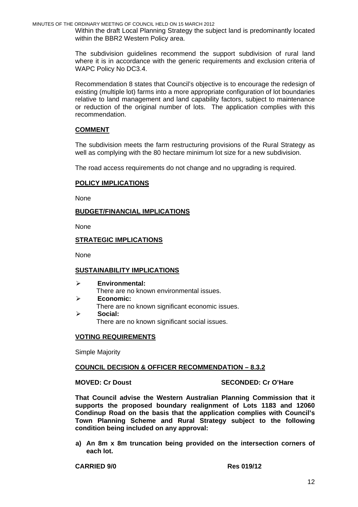MINUTES OF THE ORDINARY MEETING OF COUNCIL HELD ON 15 MARCH 2012

Within the draft Local Planning Strategy the subject land is predominantly located within the BBR2 Western Policy area.

The subdivision guidelines recommend the support subdivision of rural land where it is in accordance with the generic requirements and exclusion criteria of WAPC Policy No DC3.4.

Recommendation 8 states that Council's objective is to encourage the redesign of existing (multiple lot) farms into a more appropriate configuration of lot boundaries relative to land management and land capability factors, subject to maintenance or reduction of the original number of lots. The application complies with this recommendation.

# **COMMENT**

The subdivision meets the farm restructuring provisions of the Rural Strategy as well as complying with the 80 hectare minimum lot size for a new subdivision.

The road access requirements do not change and no upgrading is required.

### **POLICY IMPLICATIONS**

None

### **BUDGET/FINANCIAL IMPLICATIONS**

None

# **STRATEGIC IMPLICATIONS**

**None** 

#### **SUSTAINABILITY IMPLICATIONS**

- ¾ **Environmental:**  There are no known environmental issues. ¾ **Economic:**
- There are no known significant economic issues.
- ¾ **Social:**  There are no known significant social issues.

# **VOTING REQUIREMENTS**

Simple Majority

#### **COUNCIL DECISION & OFFICER RECOMMENDATION – 8.3.2**

#### **MOVED: Cr Doust SECONDED: Cr O'Hare**

**That Council advise the Western Australian Planning Commission that it supports the proposed boundary realignment of Lots 1183 and 12060 Condinup Road on the basis that the application complies with Council's Town Planning Scheme and Rural Strategy subject to the following condition being included on any approval:** 

**a) An 8m x 8m truncation being provided on the intersection corners of each lot.** 

**CARRIED 9/0 Res 019/12**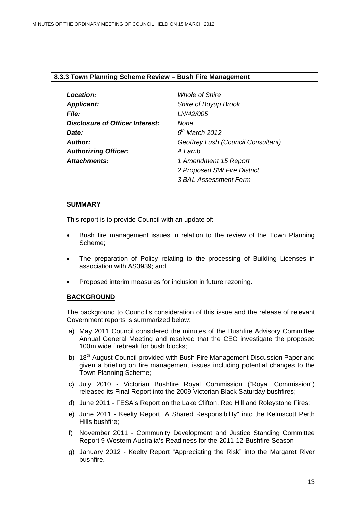### <span id="page-12-0"></span>**8.3.3 Town Planning Scheme Review – Bush Fire Management**

| Location:                              | <b>Whole of Shire</b>              |
|----------------------------------------|------------------------------------|
| <b>Applicant:</b>                      | Shire of Boyup Brook               |
| <b>File:</b>                           | LN/42/005                          |
| <b>Disclosure of Officer Interest:</b> | None                               |
| Date:                                  | $6th$ March 2012                   |
| Author:                                | Geoffrey Lush (Council Consultant) |
| <b>Authorizing Officer:</b>            | A Lamb                             |
| <b>Attachments:</b>                    | 1 Amendment 15 Report              |
|                                        | 2 Proposed SW Fire District        |
|                                        | 3 BAL Assessment Form              |

 *\_\_\_\_\_\_\_\_\_\_\_\_\_\_\_\_\_\_\_\_\_\_\_\_\_\_\_\_\_\_\_\_\_\_\_\_\_\_\_\_\_\_\_\_\_\_\_\_\_\_\_\_\_\_\_\_\_\_\_\_\_\_\_* 

#### **SUMMARY**

This report is to provide Council with an update of:

- Bush fire management issues in relation to the review of the Town Planning Scheme;
- The preparation of Policy relating to the processing of Building Licenses in association with AS3939; and
- Proposed interim measures for inclusion in future rezoning.

#### **BACKGROUND**

The background to Council's consideration of this issue and the release of relevant Government reports is summarized below:

- a) May 2011 Council considered the minutes of the Bushfire Advisory Committee Annual General Meeting and resolved that the CEO investigate the proposed 100m wide firebreak for bush blocks;
- b) 18<sup>th</sup> August Council provided with Bush Fire Management Discussion Paper and given a briefing on fire management issues including potential changes to the Town Planning Scheme;
- c) July 2010 Victorian Bushfire Royal Commission ("Royal Commission") released its Final Report into the 2009 Victorian Black Saturday bushfires;
- d) June 2011 FESA's Report on the Lake Clifton, Red Hill and Roleystone Fires;
- e) June 2011 Keelty Report "A Shared Responsibility" into the Kelmscott Perth Hills bushfire;
- f) November 2011 Community Development and Justice Standing Committee Report 9 Western Australia's Readiness for the 2011-12 Bushfire Season
- g) January 2012 Keelty Report "Appreciating the Risk" into the Margaret River bushfire.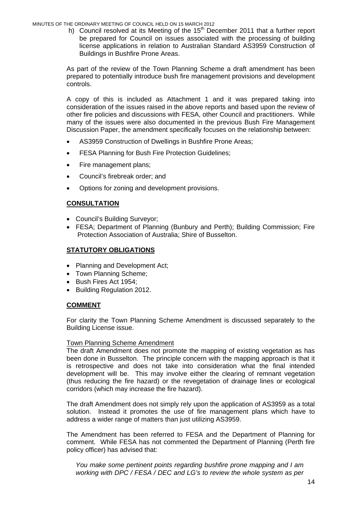MINUTES OF THE ORDINARY MEETING OF COUNCIL HELD ON 15 MARCH 2012

h) Council resolved at its Meeting of the 15<sup>th</sup> December 2011 that a further report be prepared for Council on issues associated with the processing of building license applications in relation to Australian Standard AS3959 Construction of Buildings in Bushfire Prone Areas.

As part of the review of the Town Planning Scheme a draft amendment has been prepared to potentially introduce bush fire management provisions and development controls.

A copy of this is included as Attachment 1 and it was prepared taking into consideration of the issues raised in the above reports and based upon the review of other fire policies and discussions with FESA, other Council and practitioners. While many of the issues were also documented in the previous Bush Fire Management Discussion Paper, the amendment specifically focuses on the relationship between:

- AS3959 Construction of Dwellings in Bushfire Prone Areas;
- FESA Planning for Bush Fire Protection Guidelines;
- Fire management plans;
- Council's firebreak order; and
- Options for zoning and development provisions.

# **CONSULTATION**

- Council's Building Surveyor;
- FESA; Department of Planning (Bunbury and Perth); Building Commission; Fire Protection Association of Australia; Shire of Busselton.

# **STATUTORY OBLIGATIONS**

- Planning and Development Act:
- Town Planning Scheme;
- Bush Fires Act 1954;
- Building Regulation 2012.

# **COMMENT**

For clarity the Town Planning Scheme Amendment is discussed separately to the Building License issue.

# Town Planning Scheme Amendment

The draft Amendment does not promote the mapping of existing vegetation as has been done in Busselton. The principle concern with the mapping approach is that it is retrospective and does not take into consideration what the final intended development will be. This may involve either the clearing of remnant vegetation (thus reducing the fire hazard) or the revegetation of drainage lines or ecological corridors (which may increase the fire hazard).

The draft Amendment does not simply rely upon the application of AS3959 as a total solution. Instead it promotes the use of fire management plans which have to address a wider range of matters than just utilizing AS3959.

The Amendment has been referred to FESA and the Department of Planning for comment. While FESA has not commented the Department of Planning (Perth fire policy officer) has advised that:

*You make some pertinent points regarding bushfire prone mapping and I am working with DPC / FESA / DEC and LG's to review the whole system as per*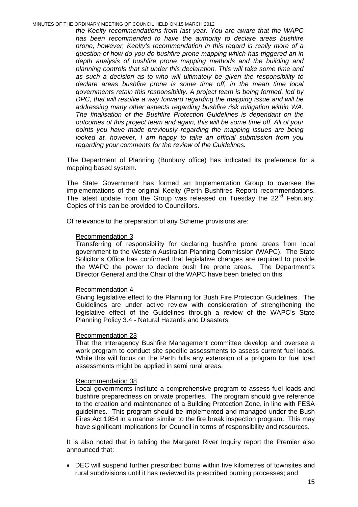MINUTES OF THE ORDINARY MEETING OF COUNCIL HELD ON 15 MARCH 2012

*the Keelty recommendations from last year. You are aware that the WAPC has been recommended to have the authority to declare areas bushfire prone, however, Keelty's recommendation in this regard is really more of a question of how do you do bushfire prone mapping which has triggered an in depth analysis of bushfire prone mapping methods and the building and planning controls that sit under this declaration. This will take some time and as such a decision as to who will ultimately be given the responsibility to declare areas bushfire prone is some time off, in the mean time local governments retain this responsibility. A project team is being formed, led by DPC, that will resolve a way forward regarding the mapping issue and will be addressing many other aspects regarding bushfire risk mitigation within WA. The finalisation of the Bushfire Protection Guidelines is dependant on the outcomes of this project team and again, this will be some time off. All of your points you have made previously regarding the mapping issues are being looked at, however, I am happy to take an official submission from you regarding your comments for the review of the Guidelines.* 

The Department of Planning (Bunbury office) has indicated its preference for a mapping based system.

The State Government has formed an Implementation Group to oversee the implementations of the original Keelty (Perth Bushfires Report) recommendations. The latest update from the Group was released on Tuesday the 22<sup>nd</sup> February. Copies of this can be provided to Councillors.

Of relevance to the preparation of any Scheme provisions are:

#### Recommendation 3

Transferring of responsibility for declaring bushfire prone areas from local government to the Western Australian Planning Commission (WAPC). The State Solicitor's Office has confirmed that legislative changes are required to provide the WAPC the power to declare bush fire prone areas. The Department's Director General and the Chair of the WAPC have been briefed on this.

#### Recommendation 4

Giving legislative effect to the Planning for Bush Fire Protection Guidelines. The Guidelines are under active review with consideration of strengthening the legislative effect of the Guidelines through a review of the WAPC's State Planning Policy 3.4 - Natural Hazards and Disasters.

#### Recommendation 23

That the Interagency Bushfire Management committee develop and oversee a work program to conduct site specific assessments to assess current fuel loads. While this will focus on the Perth hills any extension of a program for fuel load assessments might be applied in semi rural areas.

#### Recommendation 38

Local governments institute a comprehensive program to assess fuel loads and bushfire preparedness on private properties. The program should give reference to the creation and maintenance of a Building Protection Zone, in line with FESA guidelines. This program should be implemented and managed under the Bush Fires Act 1954 in a manner similar to the fire break inspection program. This may have significant implications for Council in terms of responsibility and resources.

It is also noted that in tabling the Margaret River Inquiry report the Premier also announced that:

• DEC will suspend further prescribed burns within five kilometres of townsites and rural subdivisions until it has reviewed its prescribed burning processes; and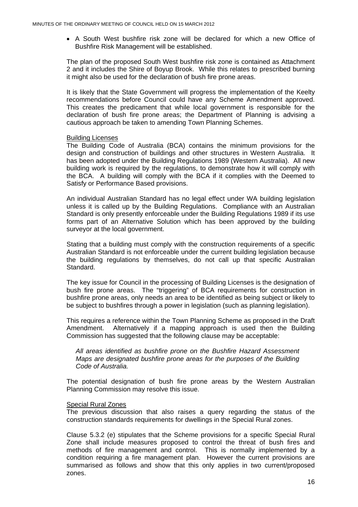• A South West bushfire risk zone will be declared for which a new Office of Bushfire Risk Management will be established.

The plan of the proposed South West bushfire risk zone is contained as Attachment 2 and it includes the Shire of Boyup Brook. While this relates to prescribed burning it might also be used for the declaration of bush fire prone areas.

It is likely that the State Government will progress the implementation of the Keelty recommendations before Council could have any Scheme Amendment approved. This creates the predicament that while local government is responsible for the declaration of bush fire prone areas; the Department of Planning is advising a cautious approach be taken to amending Town Planning Schemes.

#### Building Licenses

The Building Code of Australia (BCA) contains the minimum provisions for the design and construction of buildings and other structures in Western Australia. It has been adopted under the Building Regulations 1989 (Western Australia). All new building work is required by the regulations, to demonstrate how it will comply with the BCA. A building will comply with the BCA if it complies with the Deemed to Satisfy or Performance Based provisions.

An individual Australian Standard has no legal effect under WA building legislation unless it is called up by the Building Regulations. Compliance with an Australian Standard is only presently enforceable under the Building Regulations 1989 if its use forms part of an Alternative Solution which has been approved by the building surveyor at the local government.

Stating that a building must comply with the construction requirements of a specific Australian Standard is not enforceable under the current building legislation because the building regulations by themselves, do not call up that specific Australian Standard.

The key issue for Council in the processing of Building Licenses is the designation of bush fire prone areas. The "triggering" of BCA requirements for construction in bushfire prone areas, only needs an area to be identified as being subject or likely to be subject to bushfires through a power in legislation (such as planning legislation).

This requires a reference within the Town Planning Scheme as proposed in the Draft Amendment. Alternatively if a mapping approach is used then the Building Commission has suggested that the following clause may be acceptable:

*All areas identified as bushfire prone on the Bushfire Hazard Assessment Maps are designated bushfire prone areas for the purposes of the Building Code of Australia.* 

The potential designation of bush fire prone areas by the Western Australian Planning Commission may resolve this issue.

#### Special Rural Zones

The previous discussion that also raises a query regarding the status of the construction standards requirements for dwellings in the Special Rural zones.

Clause 5.3.2 (e) stipulates that the Scheme provisions for a specific Special Rural Zone shall include measures proposed to control the threat of bush fires and methods of fire management and control. This is normally implemented by a condition requiring a fire management plan. However the current provisions are summarised as follows and show that this only applies in two current/proposed zones.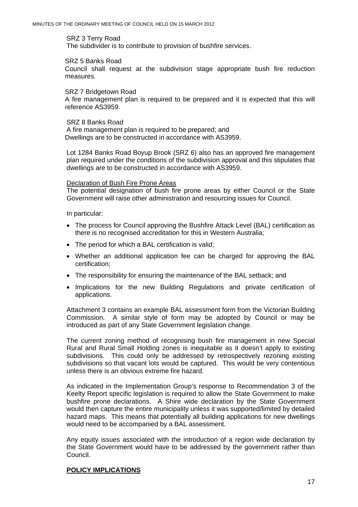#### SRZ 3 Terry Road

The subdivider is to contribute to provision of bushfire services.

#### SRZ 5 Banks Road

Council shall request at the subdivision stage appropriate bush fire reduction measures.

#### SRZ 7 Bridgetown Road

A fire management plan is required to be prepared and it is expected that this will reference AS3959.

#### SRZ 8 Banks Road

A fire management plan is required to be prepared; and Dwellings are to be constructed in accordance with AS3959.

Lot 1284 Banks Road Boyup Brook (SRZ 6) also has an approved fire management plan required under the conditions of the subdivision approval and this stipulates that dwellings are to be constructed in accordance with AS3959.

#### Declaration of Bush Fire Prone Areas

The potential designation of bush fire prone areas by either Council or the State Government will raise other administration and resourcing issues for Council.

In particular:

- The process for Council approving the Bushfire Attack Level (BAL) certification as there is no recognised accreditation for this in Western Australia;
- The period for which a BAL certification is valid;
- Whether an additional application fee can be charged for approving the BAL certification;
- The responsibility for ensuring the maintenance of the BAL setback; and
- Implications for the new Building Regulations and private certification of applications.

Attachment 3 contains an example BAL assessment form from the Victorian Building Commission. A similar style of form may be adopted by Council or may be introduced as part of any State Government legislation change.

The current zoning method of recognising bush fire management in new Special Rural and Rural Small Holding zones is inequitable as it doesn't apply to existing subdivisions. This could only be addressed by retrospectively rezoning existing subdivisions so that vacant lots would be captured. This would be very contentious unless there is an obvious extreme fire hazard.

As indicated in the Implementation Group's response to Recommendation 3 of the Keelty Report specific legislation is required to allow the State Government to make bushfire prone declarations. A Shire wide declaration by the State Government would then capture the entire municipality unless it was supported/limited by detailed hazard maps. This means that potentially all building applications for new dwellings would need to be accompanied by a BAL assessment.

Any equity issues associated with the introduction of a region wide declaration by the State Government would have to be addressed by the government rather than Council.

# **POLICY IMPLICATIONS**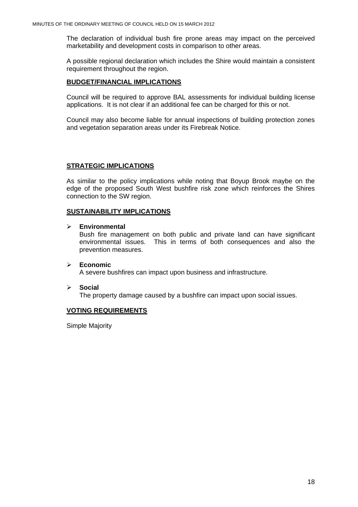The declaration of individual bush fire prone areas may impact on the perceived marketability and development costs in comparison to other areas.

A possible regional declaration which includes the Shire would maintain a consistent requirement throughout the region.

# **BUDGET/FINANCIAL IMPLICATIONS**

Council will be required to approve BAL assessments for individual building license applications. It is not clear if an additional fee can be charged for this or not.

Council may also become liable for annual inspections of building protection zones and vegetation separation areas under its Firebreak Notice.

# **STRATEGIC IMPLICATIONS**

As similar to the policy implications while noting that Boyup Brook maybe on the edge of the proposed South West bushfire risk zone which reinforces the Shires connection to the SW region.

### **SUSTAINABILITY IMPLICATIONS**

### ¾ **Environmental**

 Bush fire management on both public and private land can have significant environmental issues. This in terms of both consequences and also the prevention measures.

#### ¾ **Economic**  A severe bushfires can impact upon business and infrastructure.

#### ¾ **Social**

The property damage caused by a bushfire can impact upon social issues.

# **VOTING REQUIREMENTS**

Simple Majority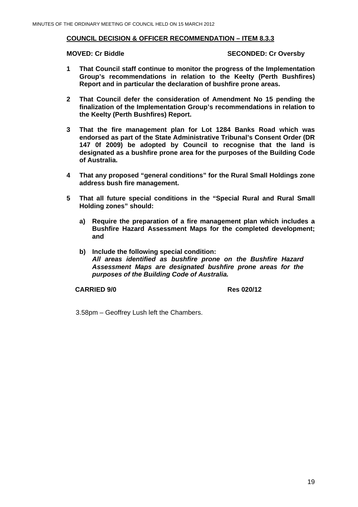# **COUNCIL DECISION & OFFICER RECOMMENDATION – ITEM 8.3.3**

#### **MOVED: Cr Biddle SECONDED: Cr Oversby**

- **1 That Council staff continue to monitor the progress of the Implementation Group's recommendations in relation to the Keelty (Perth Bushfires) Report and in particular the declaration of bushfire prone areas.**
- **2 That Council defer the consideration of Amendment No 15 pending the finalization of the Implementation Group's recommendations in relation to the Keelty (Perth Bushfires) Report.**
- **3 That the fire management plan for Lot 1284 Banks Road which was endorsed as part of the State Administrative Tribunal's Consent Order (DR 147 0f 2009) be adopted by Council to recognise that the land is designated as a bushfire prone area for the purposes of the Building Code of Australia.**
- **4 That any proposed "general conditions" for the Rural Small Holdings zone address bush fire management.**
- **5 That all future special conditions in the "Special Rural and Rural Small Holding zones" should:** 
	- **a) Require the preparation of a fire management plan which includes a Bushfire Hazard Assessment Maps for the completed development; and**
	- **b) Include the following special condition:**  *All areas identified as bushfire prone on the Bushfire Hazard Assessment Maps are designated bushfire prone areas for the purposes of the Building Code of Australia.*

**CARRIED 9/0 Res 020/12** 

3.58pm – Geoffrey Lush left the Chambers.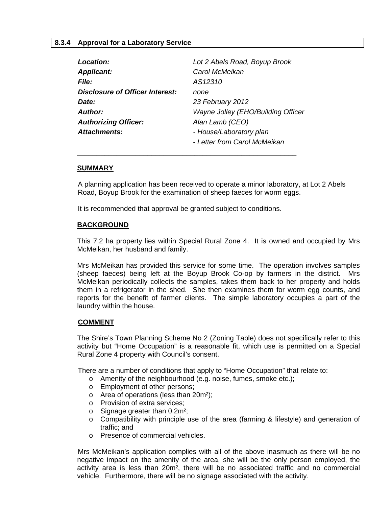# **8.3.4 Approval for a Laboratory Service**

<span id="page-19-0"></span>

| Location:                       | Lot 2 Abels Road, Boyup Brook      |
|---------------------------------|------------------------------------|
| <b>Applicant:</b>               | Carol McMeikan                     |
| <i>File:</i>                    | AS12310                            |
| Disclosure of Officer Interest: | none                               |
| Date:                           | 23 February 2012                   |
| Author:                         | Wayne Jolley (EHO/Building Officer |
| <b>Authorizing Officer:</b>     | Alan Lamb (CEO)                    |
| Attachments:                    | - House/Laboratory plan            |
|                                 | - Letter from Carol McMeikan       |
|                                 |                                    |

#### **SUMMARY**

A planning application has been received to operate a minor laboratory, at Lot 2 Abels Road, Boyup Brook for the examination of sheep faeces for worm eggs.

It is recommended that approval be granted subject to conditions.

#### **BACKGROUND**

This 7.2 ha property lies within Special Rural Zone 4. It is owned and occupied by Mrs McMeikan, her husband and family.

Mrs McMeikan has provided this service for some time. The operation involves samples (sheep faeces) being left at the Boyup Brook Co-op by farmers in the district. Mrs McMeikan periodically collects the samples, takes them back to her property and holds them in a refrigerator in the shed. She then examines them for worm egg counts, and reports for the benefit of farmer clients. The simple laboratory occupies a part of the laundry within the house.

#### **COMMENT**

The Shire's Town Planning Scheme No 2 (Zoning Table) does not specifically refer to this activity but "Home Occupation" is a reasonable fit, which use is permitted on a Special Rural Zone 4 property with Council's consent.

There are a number of conditions that apply to "Home Occupation" that relate to:

- o Amenity of the neighbourhood (e.g. noise, fumes, smoke etc.);
- o Employment of other persons;
- o Area of operations (less than 20m²);
- o Provision of extra services;
- o Signage greater than 0.2m²;
- o Compatibility with principle use of the area (farming & lifestyle) and generation of traffic; and
- o Presence of commercial vehicles.

 Mrs McMeikan's application complies with all of the above inasmuch as there will be no negative impact on the amenity of the area, she will be the only person employed, the activity area is less than 20m², there will be no associated traffic and no commercial vehicle. Furthermore, there will be no signage associated with the activity.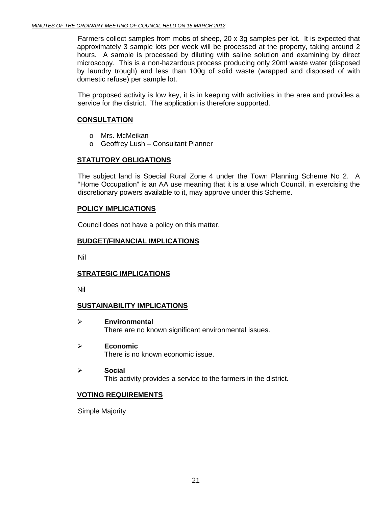Farmers collect samples from mobs of sheep, 20 x 3g samples per lot. It is expected that approximately 3 sample lots per week will be processed at the property, taking around 2 hours. A sample is processed by diluting with saline solution and examining by direct microscopy. This is a non-hazardous process producing only 20ml waste water (disposed by laundry trough) and less than 100g of solid waste (wrapped and disposed of with domestic refuse) per sample lot.

The proposed activity is low key, it is in keeping with activities in the area and provides a service for the district. The application is therefore supported.

# **CONSULTATION**

- o Mrs. McMeikan
- o Geoffrey Lush Consultant Planner

# **STATUTORY OBLIGATIONS**

The subject land is Special Rural Zone 4 under the Town Planning Scheme No 2. A "Home Occupation" is an AA use meaning that it is a use which Council, in exercising the discretionary powers available to it, may approve under this Scheme.

# **POLICY IMPLICATIONS**

Council does not have a policy on this matter.

# **BUDGET/FINANCIAL IMPLICATIONS**

Nil

# **STRATEGIC IMPLICATIONS**

Nil

# **SUSTAINABILITY IMPLICATIONS**

- ¾ **Environmental**  There are no known significant environmental issues.
- ¾ **Economic**  There is no known economic issue.
- ¾ **Social**  This activity provides a service to the farmers in the district.

# **VOTING REQUIREMENTS**

Simple Majority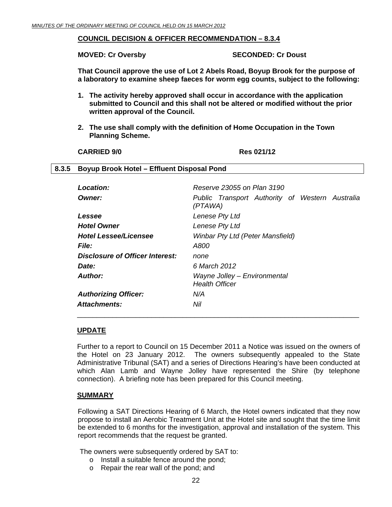# <span id="page-21-0"></span>**COUNCIL DECISION & OFFICER RECOMMENDATION – 8.3.4**

**MOVED: Cr Oversby SECONDED: Cr Doust** 

**That Council approve the use of Lot 2 Abels Road, Boyup Brook for the purpose of a laboratory to examine sheep faeces for worm egg counts, subject to the following:** 

- **1. The activity hereby approved shall occur in accordance with the application submitted to Council and this shall not be altered or modified without the prior written approval of the Council.**
- **2. The use shall comply with the definition of Home Occupation in the Town Planning Scheme.**

#### **CARRIED 9/0 Res 021/12**

# **8.3.5 Boyup Brook Hotel – Effluent Disposal Pond**

| Reserve 23055 on Plan 3190                                 |
|------------------------------------------------------------|
| Public Transport Authority of Western Australia<br>(PTAWA) |
| Lenese Pty Ltd                                             |
| Lenese Pty Ltd                                             |
| <b>Winbar Pty Ltd (Peter Mansfield)</b>                    |
| A800                                                       |
| none                                                       |
| 6 March 2012                                               |
| Wayne Jolley - Environmental<br><b>Health Officer</b>      |
| N/A                                                        |
| Nil                                                        |
|                                                            |

#### **UPDATE**

Further to a report to Council on 15 December 2011 a Notice was issued on the owners of the Hotel on 23 January 2012. The owners subsequently appealed to the State Administrative Tribunal (SAT) and a series of Directions Hearing's have been conducted at which Alan Lamb and Wayne Jolley have represented the Shire (by telephone connection). A briefing note has been prepared for this Council meeting.

 $\overline{\phantom{a}}$  , and the contract of the contract of the contract of the contract of the contract of the contract of the contract of the contract of the contract of the contract of the contract of the contract of the contrac

#### **SUMMARY**

Following a SAT Directions Hearing of 6 March, the Hotel owners indicated that they now propose to install an Aerobic Treatment Unit at the Hotel site and sought that the time limit be extended to 6 months for the investigation, approval and installation of the system. This report recommends that the request be granted.

The owners were subsequently ordered by SAT to:

- o Install a suitable fence around the pond;
- o Repair the rear wall of the pond; and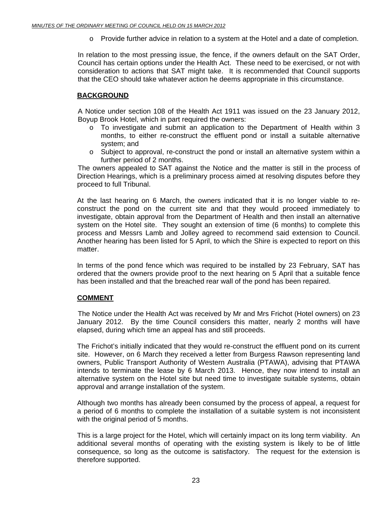o Provide further advice in relation to a system at the Hotel and a date of completion.

In relation to the most pressing issue, the fence, if the owners default on the SAT Order, Council has certain options under the Health Act. These need to be exercised, or not with consideration to actions that SAT might take. It is recommended that Council supports that the CEO should take whatever action he deems appropriate in this circumstance.

# **BACKGROUND**

A Notice under section 108 of the Health Act 1911 was issued on the 23 January 2012, Boyup Brook Hotel, which in part required the owners:

- $\circ$  To investigate and submit an application to the Department of Health within 3 months, to either re-construct the effluent pond or install a suitable alternative system; and
- o Subject to approval, re-construct the pond or install an alternative system within a further period of 2 months.

 The owners appealed to SAT against the Notice and the matter is still in the process of Direction Hearings, which is a preliminary process aimed at resolving disputes before they proceed to full Tribunal.

At the last hearing on 6 March, the owners indicated that it is no longer viable to reconstruct the pond on the current site and that they would proceed immediately to investigate, obtain approval from the Department of Health and then install an alternative system on the Hotel site. They sought an extension of time (6 months) to complete this process and Messrs Lamb and Jolley agreed to recommend said extension to Council. Another hearing has been listed for 5 April, to which the Shire is expected to report on this matter.

In terms of the pond fence which was required to be installed by 23 February, SAT has ordered that the owners provide proof to the next hearing on 5 April that a suitable fence has been installed and that the breached rear wall of the pond has been repaired.

# **COMMENT**

 The Notice under the Health Act was received by Mr and Mrs Frichot (Hotel owners) on 23 January 2012. By the time Council considers this matter, nearly 2 months will have elapsed, during which time an appeal has and still proceeds.

The Frichot's initially indicated that they would re-construct the effluent pond on its current site. However, on 6 March they received a letter from Burgess Rawson representing land owners, Public Transport Authority of Western Australia (PTAWA), advising that PTAWA intends to terminate the lease by 6 March 2013. Hence, they now intend to install an alternative system on the Hotel site but need time to investigate suitable systems, obtain approval and arrange installation of the system.

Although two months has already been consumed by the process of appeal, a request for a period of 6 months to complete the installation of a suitable system is not inconsistent with the original period of 5 months.

This is a large project for the Hotel, which will certainly impact on its long term viability. An additional several months of operating with the existing system is likely to be of little consequence, so long as the outcome is satisfactory. The request for the extension is therefore supported.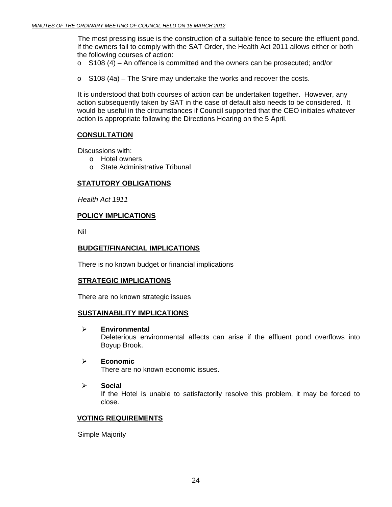The most pressing issue is the construction of a suitable fence to secure the effluent pond. If the owners fail to comply with the SAT Order, the Health Act 2011 allows either or both the following courses of action:

- $\circ$  S108 (4) An offence is committed and the owners can be prosecuted; and/or
- o S108 (4a) The Shire may undertake the works and recover the costs.

It is understood that both courses of action can be undertaken together. However, any action subsequently taken by SAT in the case of default also needs to be considered. It would be useful in the circumstances if Council supported that the CEO initiates whatever action is appropriate following the Directions Hearing on the 5 April.

# **CONSULTATION**

Discussions with:

- o Hotel owners
- o State Administrative Tribunal

# **STATUTORY OBLIGATIONS**

*Health Act 1911* 

### **POLICY IMPLICATIONS**

Nil

# **BUDGET/FINANCIAL IMPLICATIONS**

There is no known budget or financial implications

# **STRATEGIC IMPLICATIONS**

There are no known strategic issues

#### **SUSTAINABILITY IMPLICATIONS**

¾ **Environmental** 

Deleterious environmental affects can arise if the effluent pond overflows into Boyup Brook.

- ¾ **Economic**  There are no known economic issues.
- ¾ **Social**  If the Hotel is unable to satisfactorily resolve this problem, it may be forced to close.

#### **VOTING REQUIREMENTS**

Simple Majority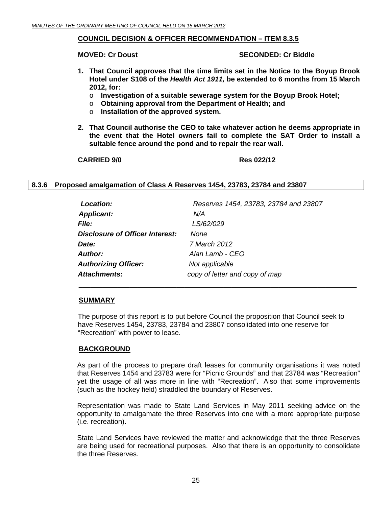### <span id="page-24-0"></span>**COUNCIL DECISION & OFFICER RECOMMENDATION – ITEM 8.3.5**

**MOVED: Cr Doust SECONDED: Cr Biddle** 

- **1. That Council approves that the time limits set in the Notice to the Boyup Brook Hotel under S108 of the** *Health Act 1911,* **be extended to 6 months from 15 March 2012, for:** 
	- o **Investigation of a suitable sewerage system for the Boyup Brook Hotel;**
	- o **Obtaining approval from the Department of Health; and**
	- o **Installation of the approved system.**
- **2. That Council authorise the CEO to take whatever action he deems appropriate in the event that the Hotel owners fail to complete the SAT Order to install a suitable fence around the pond and to repair the rear wall.**

**CARRIED 9/0 Res 022/12** 

### **8.3.6 Proposed amalgamation of Class A Reserves 1454, 23783, 23784 and 23807**

| Location:                              | Reserves 1454, 23783, 23784 and 23807 |
|----------------------------------------|---------------------------------------|
| <b>Applicant:</b>                      | N/A                                   |
| <i>File:</i>                           | LS/62/029                             |
| <b>Disclosure of Officer Interest:</b> | None                                  |
| Date:                                  | 7 March 2012                          |
| <b>Author:</b>                         | Alan Lamb - CEO                       |
| <b>Authorizing Officer:</b>            | Not applicable                        |
| <b>Attachments:</b>                    | copy of letter and copy of map        |

 $\overline{\phantom{a}}$  , and the contribution of the contribution of the contribution of the contribution of the contribution of the contribution of the contribution of the contribution of the contribution of the contribution of the

#### **SUMMARY**

The purpose of this report is to put before Council the proposition that Council seek to have Reserves 1454, 23783, 23784 and 23807 consolidated into one reserve for "Recreation" with power to lease.

#### **BACKGROUND**

As part of the process to prepare draft leases for community organisations it was noted that Reserves 1454 and 23783 were for "Picnic Grounds" and that 23784 was "Recreation" yet the usage of all was more in line with "Recreation". Also that some improvements (such as the hockey field) straddled the boundary of Reserves.

Representation was made to State Land Services in May 2011 seeking advice on the opportunity to amalgamate the three Reserves into one with a more appropriate purpose (i.e. recreation).

State Land Services have reviewed the matter and acknowledge that the three Reserves are being used for recreational purposes. Also that there is an opportunity to consolidate the three Reserves.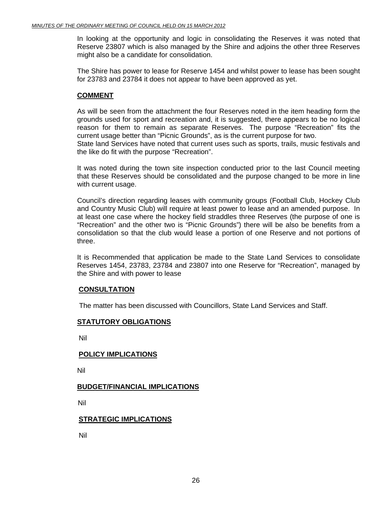In looking at the opportunity and logic in consolidating the Reserves it was noted that Reserve 23807 which is also managed by the Shire and adjoins the other three Reserves might also be a candidate for consolidation.

The Shire has power to lease for Reserve 1454 and whilst power to lease has been sought for 23783 and 23784 it does not appear to have been approved as yet.

#### **COMMENT**

As will be seen from the attachment the four Reserves noted in the item heading form the grounds used for sport and recreation and, it is suggested, there appears to be no logical reason for them to remain as separate Reserves. The purpose "Recreation" fits the current usage better than "Picnic Grounds", as is the current purpose for two. State land Services have noted that current uses such as sports, trails, music festivals and

the like do fit with the purpose "Recreation".

It was noted during the town site inspection conducted prior to the last Council meeting that these Reserves should be consolidated and the purpose changed to be more in line with current usage.

Council's direction regarding leases with community groups (Football Club, Hockey Club and Country Music Club) will require at least power to lease and an amended purpose. In at least one case where the hockey field straddles three Reserves (the purpose of one is "Recreation" and the other two is "Picnic Grounds") there will be also be benefits from a consolidation so that the club would lease a portion of one Reserve and not portions of three.

It is Recommended that application be made to the State Land Services to consolidate Reserves 1454, 23783, 23784 and 23807 into one Reserve for "Recreation", managed by the Shire and with power to lease

# **CONSULTATION**

The matter has been discussed with Councillors, State Land Services and Staff.

#### **STATUTORY OBLIGATIONS**

Nil

#### **POLICY IMPLICATIONS**

Nil

#### **BUDGET/FINANCIAL IMPLICATIONS**

Nil

#### **STRATEGIC IMPLICATIONS**

Nil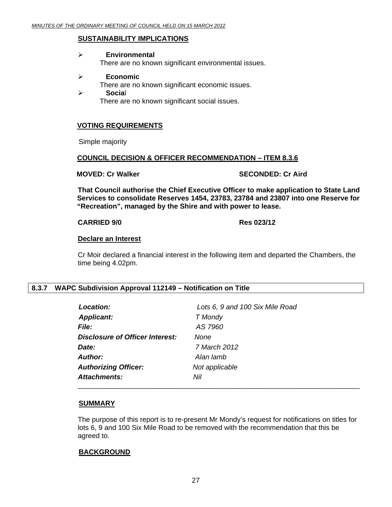#### <span id="page-26-0"></span>**SUSTAINABILITY IMPLICATIONS**

#### ¾ **Environmental**

There are no known significant environmental issues.

#### ¾ **Economic**

There are no known significant economic issues.

¾ **Socia**l There are no known significant social issues.

### **VOTING REQUIREMENTS**

Simple majority

### **COUNCIL DECISION & OFFICER RECOMMENDATION – ITEM 8.3.6**

**MOVED: Cr Walker SECONDED: Cr Aird COVED: Cr Aird SECONDED: Cr Aird** 

**That Council authorise the Chief Executive Officer to make application to State Land Services to consolidate Reserves 1454, 23783, 23784 and 23807 into one Reserve for "Recreation", managed by the Shire and with power to lease.** 

#### **CARRIED 9/0 Res 023/12**

#### **Declare an Interest**

Cr Moir declared a financial interest in the following item and departed the Chambers, the time being 4.02pm.

#### **8.3.7 WAPC Subdivision Approval 112149 – Notification on Title**

| Location:                              | Lots 6, 9 and 100 Six Mile Road |
|----------------------------------------|---------------------------------|
| <b>Applicant:</b>                      | T Mondy                         |
| <b>File:</b>                           | AS 7960                         |
| <b>Disclosure of Officer Interest:</b> | None                            |
| Date:                                  | 7 March 2012                    |
| Author:                                | Alan lamb                       |
| <b>Authorizing Officer:</b>            | Not applicable                  |
| Attachments:                           | Nil                             |
|                                        |                                 |

#### **SUMMARY**

The purpose of this report is to re-present Mr Mondy's request for notifications on titles for lots 6, 9 and 100 Six Mile Road to be removed with the recommendation that this be agreed to.

#### **BACKGROUND**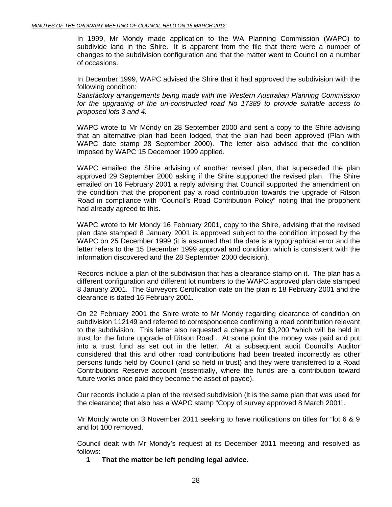In 1999, Mr Mondy made application to the WA Planning Commission (WAPC) to subdivide land in the Shire. It is apparent from the file that there were a number of changes to the subdivision configuration and that the matter went to Council on a number of occasions.

In December 1999, WAPC advised the Shire that it had approved the subdivision with the following condition:

*Satisfactory arrangements being made with the Western Australian Planning Commission for the upgrading of the un-constructed road No 17389 to provide suitable access to proposed lots 3 and 4.*

WAPC wrote to Mr Mondy on 28 September 2000 and sent a copy to the Shire advising that an alternative plan had been lodged, that the plan had been approved (Plan with WAPC date stamp 28 September 2000). The letter also advised that the condition imposed by WAPC 15 December 1999 applied.

WAPC emailed the Shire advising of another revised plan, that superseded the plan approved 29 September 2000 asking if the Shire supported the revised plan. The Shire emailed on 16 February 2001 a reply advising that Council supported the amendment on the condition that the proponent pay a road contribution towards the upgrade of Ritson Road in compliance with "Council's Road Contribution Policy" noting that the proponent had already agreed to this.

WAPC wrote to Mr Mondy 16 February 2001, copy to the Shire, advising that the revised plan date stamped 8 January 2001 is approved subject to the condition imposed by the WAPC on 25 December 1999 (it is assumed that the date is a typographical error and the letter refers to the 15 December 1999 approval and condition which is consistent with the information discovered and the 28 September 2000 decision).

Records include a plan of the subdivision that has a clearance stamp on it. The plan has a different configuration and different lot numbers to the WAPC approved plan date stamped 8 January 2001. The Surveyors Certification date on the plan is 18 February 2001 and the clearance is dated 16 February 2001.

On 22 February 2001 the Shire wrote to Mr Mondy regarding clearance of condition on subdivision 112149 and referred to correspondence confirming a road contribution relevant to the subdivision. This letter also requested a cheque for \$3,200 "which will be held in trust for the future upgrade of Ritson Road". At some point the money was paid and put into a trust fund as set out in the letter. At a subsequent audit Council's Auditor considered that this and other road contributions had been treated incorrectly as other persons funds held by Council (and so held in trust) and they were transferred to a Road Contributions Reserve account (essentially, where the funds are a contribution toward future works once paid they become the asset of payee).

Our records include a plan of the revised subdivision (it is the same plan that was used for the clearance) that also has a WAPC stamp "Copy of survey approved 8 March 2001".

Mr Mondy wrote on 3 November 2011 seeking to have notifications on titles for "lot 6 & 9 and lot 100 removed.

Council dealt with Mr Mondy's request at its December 2011 meeting and resolved as follows:

**1 That the matter be left pending legal advice.**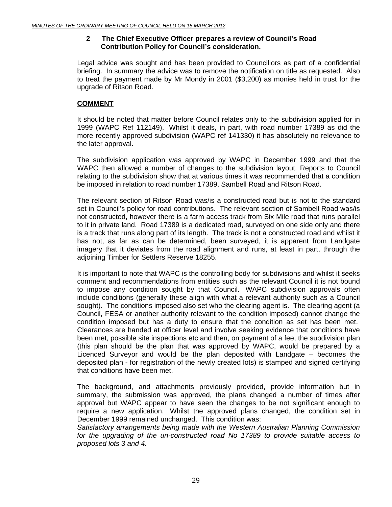# **2 The Chief Executive Officer prepares a review of Council's Road Contribution Policy for Council's consideration.**

Legal advice was sought and has been provided to Councillors as part of a confidential briefing. In summary the advice was to remove the notification on title as requested. Also to treat the payment made by Mr Mondy in 2001 (\$3,200) as monies held in trust for the upgrade of Ritson Road.

# **COMMENT**

It should be noted that matter before Council relates only to the subdivision applied for in 1999 (WAPC Ref 112149). Whilst it deals, in part, with road number 17389 as did the more recently approved subdivision (WAPC ref 141330) it has absolutely no relevance to the later approval.

The subdivision application was approved by WAPC in December 1999 and that the WAPC then allowed a number of changes to the subdivision layout. Reports to Council relating to the subdivision show that at various times it was recommended that a condition be imposed in relation to road number 17389, Sambell Road and Ritson Road.

The relevant section of Ritson Road was/is a constructed road but is not to the standard set in Council's policy for road contributions. The relevant section of Sambell Road was/is not constructed, however there is a farm access track from Six Mile road that runs parallel to it in private land. Road 17389 is a dedicated road, surveyed on one side only and there is a track that runs along part of its length. The track is not a constructed road and whilst it has not, as far as can be determined, been surveyed, it is apparent from Landgate imagery that it deviates from the road alignment and runs, at least in part, through the adjoining Timber for Settlers Reserve 18255.

It is important to note that WAPC is the controlling body for subdivisions and whilst it seeks comment and recommendations from entities such as the relevant Council it is not bound to impose any condition sought by that Council. WAPC subdivision approvals often include conditions (generally these align with what a relevant authority such as a Council sought). The conditions imposed also set who the clearing agent is. The clearing agent (a Council, FESA or another authority relevant to the condition imposed) cannot change the condition imposed but has a duty to ensure that the condition as set has been met. Clearances are handed at officer level and involve seeking evidence that conditions have been met, possible site inspections etc and then, on payment of a fee, the subdivision plan (this plan should be the plan that was approved by WAPC, would be prepared by a Licenced Surveyor and would be the plan deposited with Landgate – becomes the deposited plan - for registration of the newly created lots) is stamped and signed certifying that conditions have been met.

The background, and attachments previously provided, provide information but in summary, the submission was approved, the plans changed a number of times after approval but WAPC appear to have seen the changes to be not significant enough to require a new application. Whilst the approved plans changed, the condition set in December 1999 remained unchanged. This condition was:

*Satisfactory arrangements being made with the Western Australian Planning Commission for the upgrading of the un-constructed road No 17389 to provide suitable access to proposed lots 3 and 4.*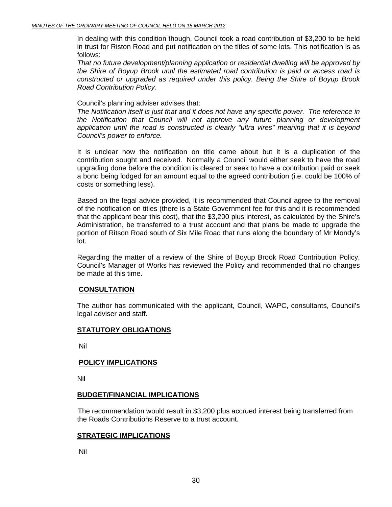In dealing with this condition though, Council took a road contribution of \$3,200 to be held in trust for Riston Road and put notification on the titles of some lots. This notification is as follows:

*That no future development/planning application or residential dwelling will be approved by the Shire of Boyup Brook until the estimated road contribution is paid or access road is constructed or upgraded as required under this policy. Being the Shire of Boyup Brook Road Contribution Policy.*

#### Council's planning adviser advises that:

*The Notification itself is just that and it does not have any specific power. The reference in the Notification that Council will not approve any future planning or development application until the road is constructed is clearly "ultra vires" meaning that it is beyond Council's power to enforce.*

It is unclear how the notification on title came about but it is a duplication of the contribution sought and received. Normally a Council would either seek to have the road upgrading done before the condition is cleared or seek to have a contribution paid or seek a bond being lodged for an amount equal to the agreed contribution (i.e. could be 100% of costs or something less).

Based on the legal advice provided, it is recommended that Council agree to the removal of the notification on titles (there is a State Government fee for this and it is recommended that the applicant bear this cost), that the \$3,200 plus interest, as calculated by the Shire's Administration, be transferred to a trust account and that plans be made to upgrade the portion of Ritson Road south of Six Mile Road that runs along the boundary of Mr Mondy's lot.

Regarding the matter of a review of the Shire of Boyup Brook Road Contribution Policy, Council's Manager of Works has reviewed the Policy and recommended that no changes be made at this time.

#### **CONSULTATION**

The author has communicated with the applicant, Council, WAPC, consultants, Council's legal adviser and staff.

#### **STATUTORY OBLIGATIONS**

Nil

#### **POLICY IMPLICATIONS**

Nil

#### **BUDGET/FINANCIAL IMPLICATIONS**

The recommendation would result in \$3,200 plus accrued interest being transferred from the Roads Contributions Reserve to a trust account.

#### **STRATEGIC IMPLICATIONS**

Nil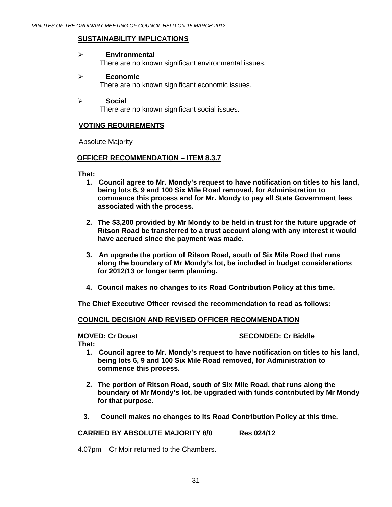#### **SUSTAINABILITY IMPLICATIONS**

#### ¾ **Environmental**

There are no known significant environmental issues.

#### ¾ **Economic**

There are no known significant economic issues.

#### ¾ **Socia**l

There are no known significant social issues.

#### **VOTING REQUIREMENTS**

Absolute Majority

#### **OFFICER RECOMMENDATION – ITEM 8.3.7**

**That:**

- **1. Council agree to Mr. Mondy's request to have notification on titles to his land, being lots 6, 9 and 100 Six Mile Road removed, for Administration to commence this process and for Mr. Mondy to pay all State Government fees associated with the process.**
- **2. The \$3,200 provided by Mr Mondy to be held in trust for the future upgrade of Ritson Road be transferred to a trust account along with any interest it would have accrued since the payment was made.**
- **3. An upgrade the portion of Ritson Road, south of Six Mile Road that runs along the boundary of Mr Mondy's lot, be included in budget considerations for 2012/13 or longer term planning.**
- **4. Council makes no changes to its Road Contribution Policy at this time.**

**The Chief Executive Officer revised the recommendation to read as follows:** 

#### **COUNCIL DECISION AND REVISED OFFICER RECOMMENDATION**

### **MOVED: Cr Doust SECONDED: Cr Biddle**

**That:**

- **1. Council agree to Mr. Mondy's request to have notification on titles to his land, being lots 6, 9 and 100 Six Mile Road removed, for Administration to commence this process.**
- **2. The portion of Ritson Road, south of Six Mile Road, that runs along the boundary of Mr Mondy's lot, be upgraded with funds contributed by Mr Mondy for that purpose.**
- **3. Council makes no changes to its Road Contribution Policy at this time.**

**CARRIED BY ABSOLUTE MAJORITY 8/0 Res 024/12** 

4.07pm – Cr Moir returned to the Chambers.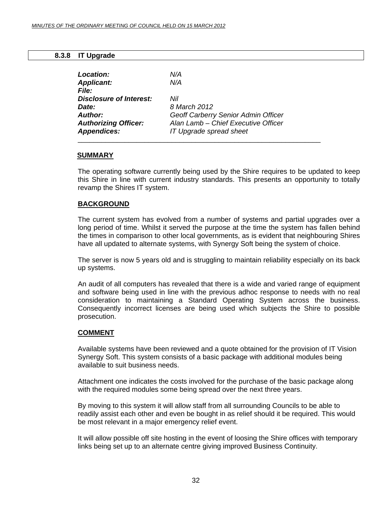### **8.3.8 IT Upgrade**

<span id="page-31-0"></span>

| Location:                      | N/A                                 |
|--------------------------------|-------------------------------------|
| <b>Applicant:</b>              | N/A                                 |
| File:                          |                                     |
| <b>Disclosure of Interest:</b> | Nil                                 |
| Date:                          | 8 March 2012                        |
| Author:                        | Geoff Carberry Senior Admin Officer |
| <b>Authorizing Officer:</b>    | Alan Lamb - Chief Executive Officer |
| <b>Appendices:</b>             | IT Upgrade spread sheet             |

### **SUMMARY**

The operating software currently being used by the Shire requires to be updated to keep this Shire in line with current industry standards. This presents an opportunity to totally revamp the Shires IT system.

# **BACKGROUND**

The current system has evolved from a number of systems and partial upgrades over a long period of time. Whilst it served the purpose at the time the system has fallen behind the times in comparison to other local governments, as is evident that neighbouring Shires have all updated to alternate systems, with Synergy Soft being the system of choice.

The server is now 5 years old and is struggling to maintain reliability especially on its back up systems.

An audit of all computers has revealed that there is a wide and varied range of equipment and software being used in line with the previous adhoc response to needs with no real consideration to maintaining a Standard Operating System across the business. Consequently incorrect licenses are being used which subjects the Shire to possible prosecution.

#### **COMMENT**

Available systems have been reviewed and a quote obtained for the provision of IT Vision Synergy Soft. This system consists of a basic package with additional modules being available to suit business needs.

Attachment one indicates the costs involved for the purchase of the basic package along with the required modules some being spread over the next three years.

By moving to this system it will allow staff from all surrounding Councils to be able to readily assist each other and even be bought in as relief should it be required. This would be most relevant in a major emergency relief event.

It will allow possible off site hosting in the event of loosing the Shire offices with temporary links being set up to an alternate centre giving improved Business Continuity.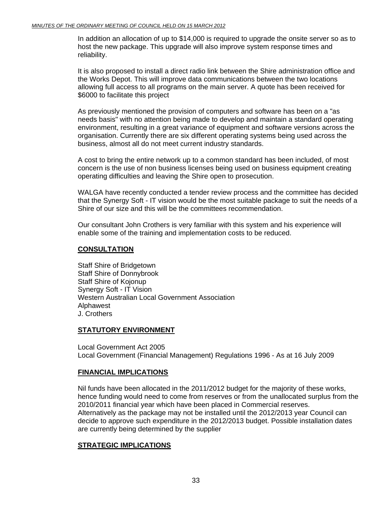In addition an allocation of up to \$14,000 is required to upgrade the onsite server so as to host the new package. This upgrade will also improve system response times and reliability.

It is also proposed to install a direct radio link between the Shire administration office and the Works Depot. This will improve data communications between the two locations allowing full access to all programs on the main server. A quote has been received for \$6000 to facilitate this project

As previously mentioned the provision of computers and software has been on a "as needs basis" with no attention being made to develop and maintain a standard operating environment, resulting in a great variance of equipment and software versions across the organisation. Currently there are six different operating systems being used across the business, almost all do not meet current industry standards.

A cost to bring the entire network up to a common standard has been included, of most concern is the use of non business licenses being used on business equipment creating operating difficulties and leaving the Shire open to prosecution.

WALGA have recently conducted a tender review process and the committee has decided that the Synergy Soft - IT vision would be the most suitable package to suit the needs of a Shire of our size and this will be the committees recommendation.

Our consultant John Crothers is very familiar with this system and his experience will enable some of the training and implementation costs to be reduced.

### **CONSULTATION**

Staff Shire of Bridgetown Staff Shire of Donnybrook Staff Shire of Kojonup Synergy Soft - IT Vision Western Australian Local Government Association Alphawest J. Crothers

# **STATUTORY ENVIRONMENT**

Local Government Act 2005 Local Government (Financial Management) Regulations 1996 - As at 16 July 2009

# **FINANCIAL IMPLICATIONS**

Nil funds have been allocated in the 2011/2012 budget for the majority of these works, hence funding would need to come from reserves or from the unallocated surplus from the 2010/2011 financial year which have been placed in Commercial reserves. Alternatively as the package may not be installed until the 2012/2013 year Council can decide to approve such expenditure in the 2012/2013 budget. Possible installation dates are currently being determined by the supplier

# **STRATEGIC IMPLICATIONS**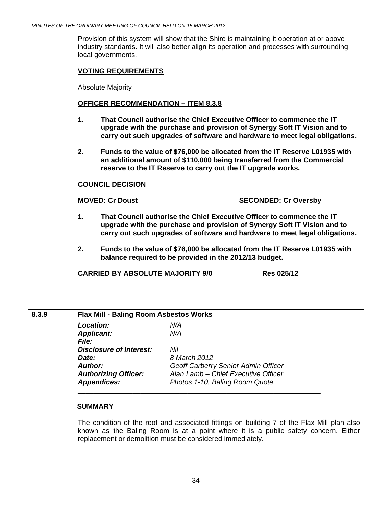<span id="page-33-0"></span>Provision of this system will show that the Shire is maintaining it operation at or above industry standards. It will also better align its operation and processes with surrounding local governments.

### **VOTING REQUIREMENTS**

Absolute Majority

#### **OFFICER RECOMMENDATION – ITEM 8.3.8**

- **1. That Council authorise the Chief Executive Officer to commence the IT upgrade with the purchase and provision of Synergy Soft IT Vision and to carry out such upgrades of software and hardware to meet legal obligations.**
- **2. Funds to the value of \$76,000 be allocated from the IT Reserve L01935 with an additional amount of \$110,000 being transferred from the Commercial reserve to the IT Reserve to carry out the IT upgrade works.**

#### **COUNCIL DECISION**

### **MOVED: Cr Doust SECONDED: Cr Oversby**

- **1. That Council authorise the Chief Executive Officer to commence the IT upgrade with the purchase and provision of Synergy Soft IT Vision and to carry out such upgrades of software and hardware to meet legal obligations.**
- **2. Funds to the value of \$76,000 be allocated from the IT Reserve L01935 with balance required to be provided in the 2012/13 budget.**

**CARRIED BY ABSOLUTE MAJORITY 9/0 Res 025/12** 

| 8.3.9 | <b>Flax Mill - Baling Room Asbestos Works</b> |                                     |
|-------|-----------------------------------------------|-------------------------------------|
|       | <b>Location:</b>                              | N/A                                 |
|       | <b>Applicant:</b>                             | N/A                                 |
|       | <i>File:</i>                                  |                                     |
|       | <b>Disclosure of Interest:</b>                | Nil                                 |
|       | Date:                                         | 8 March 2012                        |
|       | <b>Author:</b>                                | Geoff Carberry Senior Admin Officer |
|       | <b>Authorizing Officer:</b>                   | Alan Lamb - Chief Executive Officer |
|       | <b>Appendices:</b>                            | Photos 1-10, Baling Room Quote      |
|       |                                               |                                     |

#### **SUMMARY**

The condition of the roof and associated fittings on building 7 of the Flax Mill plan also known as the Baling Room is at a point where it is a public safety concern. Either replacement or demolition must be considered immediately.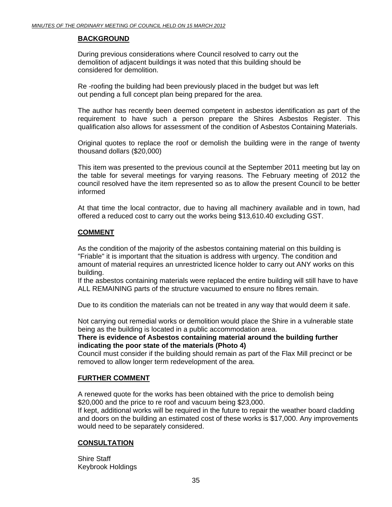# **BACKGROUND**

 During previous considerations where Council resolved to carry out the demolition of adjacent buildings it was noted that this building should be considered for demolition.

 Re -roofing the building had been previously placed in the budget but was left out pending a full concept plan being prepared for the area.

The author has recently been deemed competent in asbestos identification as part of the requirement to have such a person prepare the Shires Asbestos Register. This qualification also allows for assessment of the condition of Asbestos Containing Materials.

Original quotes to replace the roof or demolish the building were in the range of twenty thousand dollars (\$20,000)

This item was presented to the previous council at the September 2011 meeting but lay on the table for several meetings for varying reasons. The February meeting of 2012 the council resolved have the item represented so as to allow the present Council to be better informed

At that time the local contractor, due to having all machinery available and in town, had offered a reduced cost to carry out the works being \$13,610.40 excluding GST.

### **COMMENT**

As the condition of the majority of the asbestos containing material on this building is "Friable" it is important that the situation is address with urgency. The condition and amount of material requires an unrestricted licence holder to carry out ANY works on this building.

If the asbestos containing materials were replaced the entire building will still have to have ALL REMAINING parts of the structure vacuumed to ensure no fibres remain.

Due to its condition the materials can not be treated in any way that would deem it safe.

Not carrying out remedial works or demolition would place the Shire in a vulnerable state being as the building is located in a public accommodation area.

#### **There is evidence of Asbestos containing material around the building further indicating the poor state of the materials (Photo 4)**

Council must consider if the building should remain as part of the Flax Mill precinct or be removed to allow longer term redevelopment of the area.

# **FURTHER COMMENT**

A renewed quote for the works has been obtained with the price to demolish being \$20,000 and the price to re roof and vacuum being \$23,000.

If kept, additional works will be required in the future to repair the weather board cladding and doors on the building an estimated cost of these works is \$17,000. Any improvements would need to be separately considered.

#### **CONSULTATION**

Shire Staff Keybrook Holdings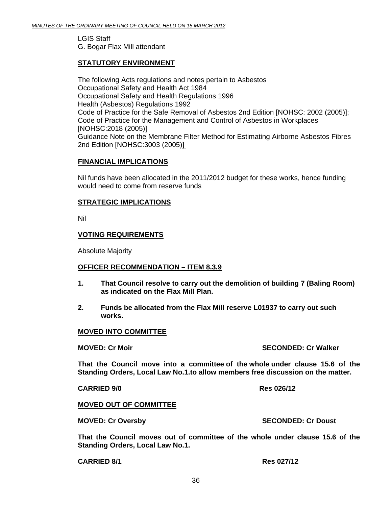LGIS Staff G. Bogar Flax Mill attendant

# **STATUTORY ENVIRONMENT**

The following Acts regulations and notes pertain to Asbestos [Occupational Safety and Health Act 1984](http://www.slp.wa.gov.au/legislation/agency.nsf/docep_menu.htmlx&category=4)  [Occupational Safety and Health Regulations 1996](http://www.slp.wa.gov.au/legislation/agency.nsf/docep_menu.htmlx&category=4)  [Health \(Asbestos\) Regulations 1992](http://www.slp.wa.gov.au/legislation/agency.nsf/docep_menu.htmlx&category=4)  [Code of Practice for the Safe Removal of Asbestos 2nd Edition \[NOHSC: 2002 \(2005\)\]](http://www.safeworkaustralia.gov.au/); [Code of Practice for the Management and Control of Asbestos in Workplaces](http://www.safeworkaustralia.gov.au/)  [\[NOHSC:2018 \(2005\)\]](http://www.safeworkaustralia.gov.au/)  [Guidance Note on the Membrane Filter Method for Estimating Airborne Asbestos Fibres](http://www.safeworkaustralia.gov.au/)  [2nd Edition \[NOHSC:3003 \(2005\)\]](http://www.safeworkaustralia.gov.au/) 

### **FINANCIAL IMPLICATIONS**

Nil funds have been allocated in the 2011/2012 budget for these works, hence funding would need to come from reserve funds

#### **STRATEGIC IMPLICATIONS**

Nil

#### **VOTING REQUIREMENTS**

Absolute Majority

#### **OFFICER RECOMMENDATION – ITEM 8.3.9**

- **1. That Council resolve to carry out the demolition of building 7 (Baling Room) as indicated on the Flax Mill Plan.**
- **2. Funds be allocated from the Flax Mill reserve L01937 to carry out such works.**

#### **MOVED INTO COMMITTEE**

**MOVED: Cr Moir SECONDED: Cr Walker All Conditions Conditions All Conditions SECONDED: Cr Walker** 

**That the Council move into a committee of the whole under clause 15.6 of the Standing Orders, Local Law No.1.to allow members free discussion on the matter.** 

**CARRIED 9/0 Res 026/12** 

#### **MOVED OUT OF COMMITTEE**

**MOVED: Cr Oversby Construction Control Construction Construction Construction Construction Construction Construction Construction Construction Construction Construction Construction Construction Construction Construction** 

**That the Council moves out of committee of the whole under clause 15.6 of the Standing Orders, Local Law No.1.** 

**CARRIED 8/1 Res 027/12**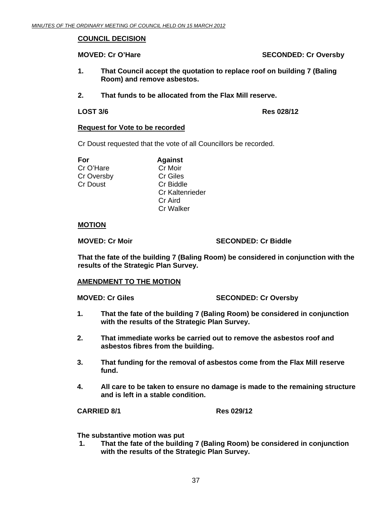### **COUNCIL DECISION**

**MOVED: Cr O'Hare SECONDED: Cr Oversby** 

- **1. That Council accept the quotation to replace roof on building 7 (Baling Room) and remove asbestos.**
- **2. That funds to be allocated from the Flax Mill reserve.**

**LOST 3/6 Res 028/12** 

#### **Request for Vote to be recorded**

Cr Doust requested that the vote of all Councillors be recorded.

Cr O'Hare Cr Moir Cr Oversby Cr Giles Cr Doust Cr Biddle

**For Against**  Cr Kaltenrieder Cr Aird Cr Walker

### **MOTION**

**MOVED: Cr Moir** SECONDED: Cr Biddle

**That the fate of the building 7 (Baling Room) be considered in conjunction with the results of the Strategic Plan Survey.** 

#### **AMENDMENT TO THE MOTION**

**MOVED: Cr Giles SECONDED: Cr Oversby** 

- **1. That the fate of the building 7 (Baling Room) be considered in conjunction with the results of the Strategic Plan Survey.**
- **2. That immediate works be carried out to remove the asbestos roof and asbestos fibres from the building.**
- **3. That funding for the removal of asbestos come from the Flax Mill reserve fund.**
- **4. All care to be taken to ensure no damage is made to the remaining structure and is left in a stable condition.**

#### **CARRIED 8/1 Res 029/12**

**The substantive motion was put** 

 **1. That the fate of the building 7 (Baling Room) be considered in conjunction with the results of the Strategic Plan Survey.**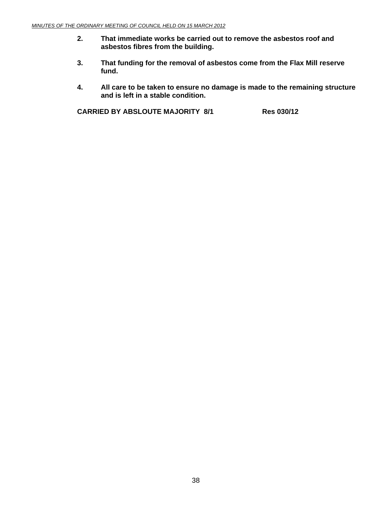- **2. That immediate works be carried out to remove the asbestos roof and asbestos fibres from the building.**
- **3. That funding for the removal of asbestos come from the Flax Mill reserve fund.**
- **4. All care to be taken to ensure no damage is made to the remaining structure and is left in a stable condition.**

**CARRIED BY ABSLOUTE MAJORITY 8/1 Res 030/12**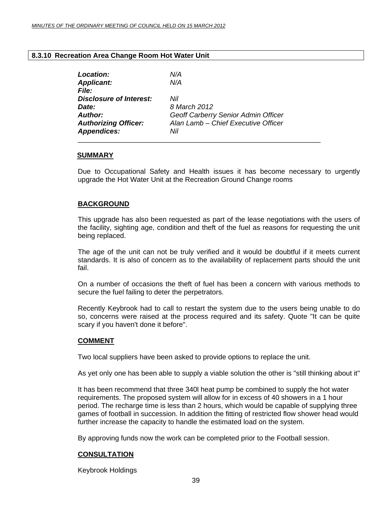#### <span id="page-38-0"></span>**8.3.10 Recreation Area Change Room Hot Water Unit**

| Location:                      | N/A                                 |
|--------------------------------|-------------------------------------|
| <b>Applicant:</b>              | N/A                                 |
| <i>File:</i>                   |                                     |
| <b>Disclosure of Interest:</b> | Nil                                 |
| Date:                          | 8 March 2012                        |
| Author:                        | Geoff Carberry Senior Admin Officer |
| <b>Authorizing Officer:</b>    | Alan Lamb - Chief Executive Officer |
| <b>Appendices:</b>             | Nil                                 |
|                                |                                     |

#### **SUMMARY**

Due to Occupational Safety and Health issues it has become necessary to urgently upgrade the Hot Water Unit at the Recreation Ground Change rooms

# **BACKGROUND**

This upgrade has also been requested as part of the lease negotiations with the users of the facility, sighting age, condition and theft of the fuel as reasons for requesting the unit being replaced.

The age of the unit can not be truly verified and it would be doubtful if it meets current standards. It is also of concern as to the availability of replacement parts should the unit fail.

On a number of occasions the theft of fuel has been a concern with various methods to secure the fuel failing to deter the perpetrators.

Recently Keybrook had to call to restart the system due to the users being unable to do so, concerns were raised at the process required and its safety. Quote "It can be quite scary if you haven't done it before".

#### **COMMENT**

Two local suppliers have been asked to provide options to replace the unit.

As yet only one has been able to supply a viable solution the other is "still thinking about it"

It has been recommend that three 340l heat pump be combined to supply the hot water requirements. The proposed system will allow for in excess of 40 showers in a 1 hour period. The recharge time is less than 2 hours, which would be capable of supplying three games of football in succession. In addition the fitting of restricted flow shower head would further increase the capacity to handle the estimated load on the system.

By approving funds now the work can be completed prior to the Football session.

# **CONSULTATION**

Keybrook Holdings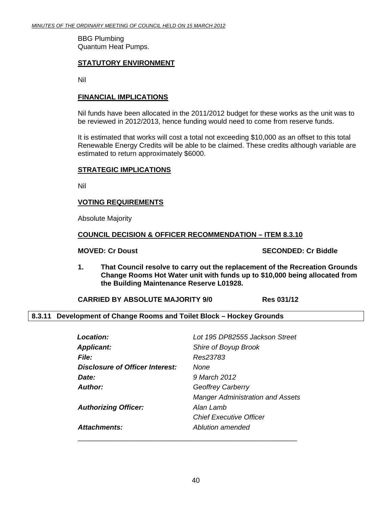<span id="page-39-0"></span>BBG Plumbing Quantum Heat Pumps.

# **STATUTORY ENVIRONMENT**

Nil

#### **FINANCIAL IMPLICATIONS**

Nil funds have been allocated in the 2011/2012 budget for these works as the unit was to be reviewed in 2012/2013, hence funding would need to come from reserve funds.

It is estimated that works will cost a total not exceeding \$10,000 as an offset to this total Renewable Energy Credits will be able to be claimed. These credits although variable are estimated to return approximately \$6000.

### **STRATEGIC IMPLICATIONS**

Nil

# **VOTING REQUIREMENTS**

Absolute Majority

#### **COUNCIL DECISION & OFFICER RECOMMENDATION – ITEM 8.3.10**

**MOVED: Cr Doust SECONDED: Cr Biddle** 

**1. That Council resolve to carry out the replacement of the Recreation Grounds Change Rooms Hot Water unit with funds up to \$10,000 being allocated from the Building Maintenance Reserve L01928.** 

**CARRIED BY ABSOLUTE MAJORITY 9/0 Res 031/12** 

# **8.3.11 Development of Change Rooms and Toilet Block – Hockey Grounds**

| Location:                       | Lot 195 DP82555 Jackson Street          |
|---------------------------------|-----------------------------------------|
| <b>Applicant:</b>               | Shire of Boyup Brook                    |
| <b>File:</b>                    | Res23783                                |
| Disclosure of Officer Interest: | None                                    |
| Date:                           | 9 March 2012                            |
| Author:                         | <b>Geoffrey Carberry</b>                |
|                                 | <b>Manger Administration and Assets</b> |
| <b>Authorizing Officer:</b>     | Alan Lamb                               |
|                                 | <b>Chief Executive Officer</b>          |
| Attachments:                    | Ablution amended                        |
|                                 |                                         |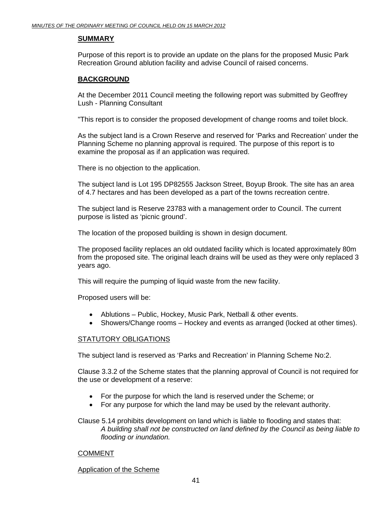# **SUMMARY**

Purpose of this report is to provide an update on the plans for the proposed Music Park Recreation Ground ablution facility and advise Council of raised concerns.

# **BACKGROUND**

At the December 2011 Council meeting the following report was submitted by Geoffrey Lush - Planning Consultant

"This report is to consider the proposed development of change rooms and toilet block.

As the subject land is a Crown Reserve and reserved for 'Parks and Recreation' under the Planning Scheme no planning approval is required. The purpose of this report is to examine the proposal as if an application was required.

There is no objection to the application.

The subject land is Lot 195 DP82555 Jackson Street, Boyup Brook. The site has an area of 4.7 hectares and has been developed as a part of the towns recreation centre.

The subject land is Reserve 23783 with a management order to Council. The current purpose is listed as 'picnic ground'.

The location of the proposed building is shown in design document.

The proposed facility replaces an old outdated facility which is located approximately 80m from the proposed site. The original leach drains will be used as they were only replaced 3 years ago.

This will require the pumping of liquid waste from the new facility.

Proposed users will be:

- Ablutions Public, Hockey, Music Park, Netball & other events.
- Showers/Change rooms Hockey and events as arranged (locked at other times).

#### STATUTORY OBLIGATIONS

The subject land is reserved as 'Parks and Recreation' in Planning Scheme No:2.

Clause 3.3.2 of the Scheme states that the planning approval of Council is not required for the use or development of a reserve:

- For the purpose for which the land is reserved under the Scheme; or
- For any purpose for which the land may be used by the relevant authority.

Clause 5.14 prohibits development on land which is liable to flooding and states that: *A building shall not be constructed on land defined by the Council as being liable to flooding or inundation.* 

#### COMMENT

Application of the Scheme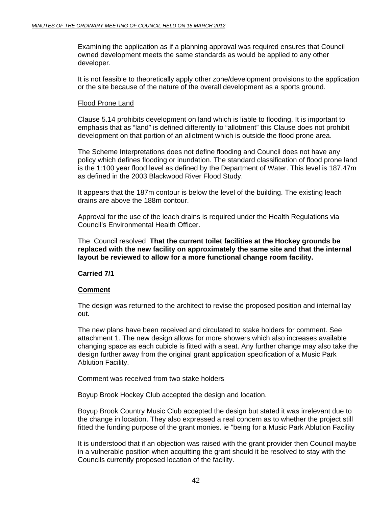Examining the application as if a planning approval was required ensures that Council owned development meets the same standards as would be applied to any other developer.

It is not feasible to theoretically apply other zone/development provisions to the application or the site because of the nature of the overall development as a sports ground.

#### Flood Prone Land

Clause 5.14 prohibits development on land which is liable to flooding. It is important to emphasis that as "land" is defined differently to "allotment" this Clause does not prohibit development on that portion of an allotment which is outside the flood prone area.

The Scheme Interpretations does not define flooding and Council does not have any policy which defines flooding or inundation. The standard classification of flood prone land is the 1:100 year flood level as defined by the Department of Water. This level is 187.47m as defined in the 2003 Blackwood River Flood Study.

It appears that the 187m contour is below the level of the building. The existing leach drains are above the 188m contour.

Approval for the use of the leach drains is required under the Health Regulations via Council's Environmental Health Officer.

The Council resolved **That the current toilet facilities at the Hockey grounds be replaced with the new facility on approximately the same site and that the internal layout be reviewed to allow for a more functional change room facility.** 

# **Carried 7/1**

#### **Comment**

The design was returned to the architect to revise the proposed position and internal lay out.

The new plans have been received and circulated to stake holders for comment. See attachment 1. The new design allows for more showers which also increases available changing space as each cubicle is fitted with a seat. Any further change may also take the design further away from the original grant application specification of a Music Park Ablution Facility.

Comment was received from two stake holders

Boyup Brook Hockey Club accepted the design and location.

Boyup Brook Country Music Club accepted the design but stated it was irrelevant due to the change in location. They also expressed a real concern as to whether the project still fitted the funding purpose of the grant monies. ie "being for a Music Park Ablution Facility

It is understood that if an objection was raised with the grant provider then Council maybe in a vulnerable position when acquitting the grant should it be resolved to stay with the Councils currently proposed location of the facility.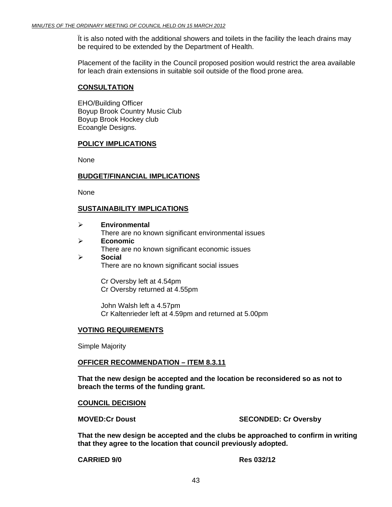Ït is also noted with the additional showers and toilets in the facility the leach drains may be required to be extended by the Department of Health.

Placement of the facility in the Council proposed position would restrict the area available for leach drain extensions in suitable soil outside of the flood prone area.

#### **CONSULTATION**

EHO/Building Officer Boyup Brook Country Music Club Boyup Brook Hockey club Ecoangle Designs.

# **POLICY IMPLICATIONS**

None

### **BUDGET/FINANCIAL IMPLICATIONS**

None

### **SUSTAINABILITY IMPLICATIONS**

| <b>Environmental</b>                                |
|-----------------------------------------------------|
| There are no known significant environmental issues |
| <b>Economic</b>                                     |
| There are no known significant economic issues      |
| <b>Social</b>                                       |
| There are no known significant social issues        |
|                                                     |
| Cr Oversby left at 4.54pm                           |

Cr Oversby returned at 4.55pm

John Walsh left a 4.57pm Cr Kaltenrieder left at 4.59pm and returned at 5.00pm

#### **VOTING REQUIREMENTS**

Simple Majority

#### **OFFICER RECOMMENDATION – ITEM 8.3.11**

**That the new design be accepted and the location be reconsidered so as not to breach the terms of the funding grant.** 

#### **COUNCIL DECISION**

**MOVED:Cr Doust SECONDED: Cr Oversby** 

**That the new design be accepted and the clubs be approached to confirm in writing that they agree to the location that council previously adopted.** 

**CARRIED 9/0 Res 032/12**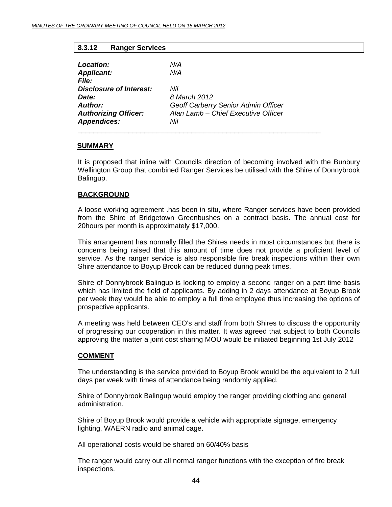# **8.3.12 Ranger Services**

| Location:                      | N/A                                 |
|--------------------------------|-------------------------------------|
| <b>Applicant:</b>              | N/A                                 |
| <i>File:</i>                   |                                     |
| <b>Disclosure of Interest:</b> | Nil                                 |
| Date:                          | 8 March 2012                        |
| Author:                        | Geoff Carberry Senior Admin Officer |
| <b>Authorizing Officer:</b>    | Alan Lamb - Chief Executive Officer |
| <b>Appendices:</b>             | Nil                                 |
|                                |                                     |

# **SUMMARY**

It is proposed that inline with Councils direction of becoming involved with the Bunbury Wellington Group that combined Ranger Services be utilised with the Shire of Donnybrook Balingup.

### **BACKGROUND**

A loose working agreement .has been in situ, where Ranger services have been provided from the Shire of Bridgetown Greenbushes on a contract basis. The annual cost for 20hours per month is approximately \$17,000.

This arrangement has normally filled the Shires needs in most circumstances but there is concerns being raised that this amount of time does not provide a proficient level of service. As the ranger service is also responsible fire break inspections within their own Shire attendance to Boyup Brook can be reduced during peak times.

Shire of Donnybrook Balingup is looking to employ a second ranger on a part time basis which has limited the field of applicants. By adding in 2 days attendance at Boyup Brook per week they would be able to employ a full time employee thus increasing the options of prospective applicants.

A meeting was held between CEO's and staff from both Shires to discuss the opportunity of progressing our cooperation in this matter. It was agreed that subject to both Councils approving the matter a joint cost sharing MOU would be initiated beginning 1st July 2012

#### **COMMENT**

The understanding is the service provided to Boyup Brook would be the equivalent to 2 full days per week with times of attendance being randomly applied.

Shire of Donnybrook Balingup would employ the ranger providing clothing and general administration.

Shire of Boyup Brook would provide a vehicle with appropriate signage, emergency lighting, WAERN radio and animal cage.

All operational costs would be shared on 60/40% basis

The ranger would carry out all normal ranger functions with the exception of fire break inspections.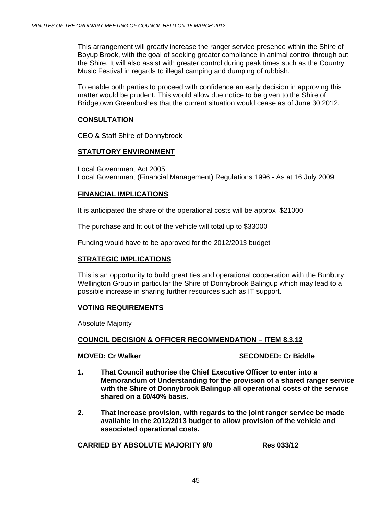This arrangement will greatly increase the ranger service presence within the Shire of Boyup Brook, with the goal of seeking greater compliance in animal control through out the Shire. It will also assist with greater control during peak times such as the Country Music Festival in regards to illegal camping and dumping of rubbish.

To enable both parties to proceed with confidence an early decision in approving this matter would be prudent. This would allow due notice to be given to the Shire of Bridgetown Greenbushes that the current situation would cease as of June 30 2012.

# **CONSULTATION**

CEO & Staff Shire of Donnybrook

#### **STATUTORY ENVIRONMENT**

Local Government Act 2005 Local Government (Financial Management) Regulations 1996 - As at 16 July 2009

#### **FINANCIAL IMPLICATIONS**

It is anticipated the share of the operational costs will be approx \$21000

The purchase and fit out of the vehicle will total up to \$33000

Funding would have to be approved for the 2012/2013 budget

# **STRATEGIC IMPLICATIONS**

This is an opportunity to build great ties and operational cooperation with the Bunbury Wellington Group in particular the Shire of Donnybrook Balingup which may lead to a possible increase in sharing further resources such as IT support.

#### **VOTING REQUIREMENTS**

Absolute Majority

#### **COUNCIL DECISION & OFFICER RECOMMENDATION – ITEM 8.3.12**

# **MOVED: Cr Walker SECONDED: Cr Biddle**

- **1. That Council authorise the Chief Executive Officer to enter into a Memorandum of Understanding for the provision of a shared ranger service with the Shire of Donnybrook Balingup all operational costs of the service shared on a 60/40% basis.**
- **2. That increase provision, with regards to the joint ranger service be made available in the 2012/2013 budget to allow provision of the vehicle and associated operational costs.**

**CARRIED BY ABSOLUTE MAJORITY 9/0 Res 033/12**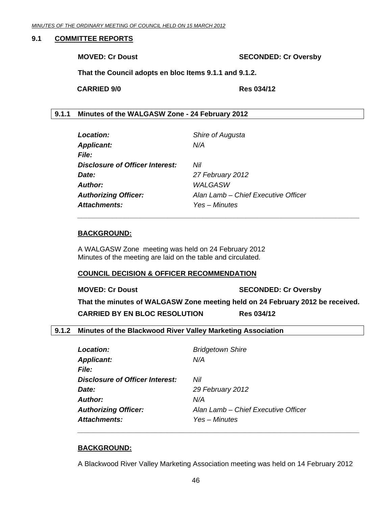#### <span id="page-45-0"></span>**9.1 COMMITTEE REPORTS**

**MOVED: Cr Doust SECONDED: Cr Oversby** 

**That the Council adopts en bloc Items 9.1.1 and 9.1.2.** 

**CARRIED 9/0 Res 034/12** 

# **9.1.1 Minutes of the WALGASW Zone - 24 February 2012**

| <b>Location:</b>                       | Shire of Augusta                    |
|----------------------------------------|-------------------------------------|
| <b>Applicant:</b>                      | N/A                                 |
| <i>File:</i>                           |                                     |
| <b>Disclosure of Officer Interest:</b> | Nil                                 |
| Date:                                  | 27 February 2012                    |
| <b>Author:</b>                         | WALGASW                             |
| <b>Authorizing Officer:</b>            | Alan Lamb - Chief Executive Officer |
| <b>Attachments:</b>                    | Yes – Minutes                       |

#### **BACKGROUND:**

A WALGASW Zone meeting was held on 24 February 2012 Minutes of the meeting are laid on the table and circulated.

#### **COUNCIL DECISION & OFFICER RECOMMENDATION**

**MOVED: Cr Doust SECONDED: Cr Oversby** 

**That the minutes of WALGASW Zone meeting held on 24 February 2012 be received. CARRIED BY EN BLOC RESOLUTION Res 034/12** 

*\_\_\_\_\_\_\_\_\_\_\_\_\_\_\_\_\_\_\_\_\_\_\_\_\_\_\_\_\_\_\_\_\_\_\_\_\_\_\_\_\_\_\_\_\_\_\_\_\_\_\_\_\_\_\_\_\_\_\_\_\_\_\_\_\_\_\_\_\_\_\_\_* 

# **9.1.2 Minutes of the Blackwood River Valley Marketing Association**

| <b>Location:</b>                | <b>Bridgetown Shire</b>             |
|---------------------------------|-------------------------------------|
| <b>Applicant:</b>               | N/A                                 |
| <i>File:</i>                    |                                     |
| Disclosure of Officer Interest: | Nil                                 |
| <i>Date:</i>                    | 29 February 2012                    |
| Author:                         | N/A                                 |
| <b>Authorizing Officer:</b>     | Alan Lamb - Chief Executive Officer |
| Attachments:                    | Yes – Minutes                       |

#### **BACKGROUND:**

A Blackwood River Valley Marketing Association meeting was held on 14 February 2012

*\_\_\_\_\_\_\_\_\_\_\_\_\_\_\_\_\_\_\_\_\_\_\_\_\_\_\_\_\_\_\_\_\_\_\_\_\_\_\_\_\_\_\_\_\_\_\_\_\_\_\_\_\_\_\_\_\_\_\_\_\_\_\_\_\_\_\_\_\_\_\_\_*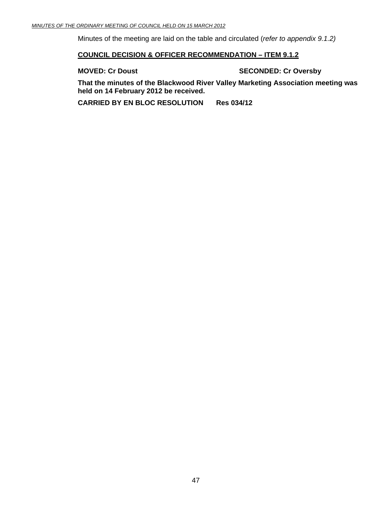Minutes of the meeting are laid on the table and circulated (*refer to appendix 9.1.2)* 

#### **COUNCIL DECISION & OFFICER RECOMMENDATION – ITEM 9.1.2**

**MOVED: Cr Doust SECONDED: Cr Oversby** 

**That the minutes of the Blackwood River Valley Marketing Association meeting was held on 14 February 2012 be received.** 

**CARRIED BY EN BLOC RESOLUTION Res 034/12**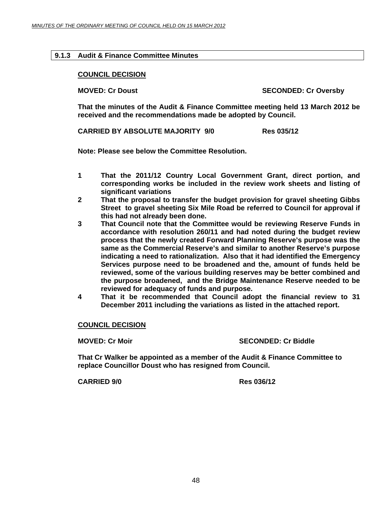### <span id="page-47-0"></span>**9.1.3 Audit & Finance Committee Minutes**

#### **COUNCIL DECISION**

**MOVED: Cr Doust SECONDED: Cr Oversby** 

**That the minutes of the Audit & Finance Committee meeting held 13 March 2012 be received and the recommendations made be adopted by Council.** 

**CARRIED BY ABSOLUTE MAJORITY 9/0 Res 035/12** 

**Note: Please see below the Committee Resolution.** 

- **1 That the 2011/12 Country Local Government Grant, direct portion, and corresponding works be included in the review work sheets and listing of significant variations**
- **2 That the proposal to transfer the budget provision for gravel sheeting Gibbs Street to gravel sheeting Six Mile Road be referred to Council for approval if this had not already been done.**
- **3 That Council note that the Committee would be reviewing Reserve Funds in accordance with resolution 260/11 and had noted during the budget review process that the newly created Forward Planning Reserve's purpose was the same as the Commercial Reserve's and similar to another Reserve's purpose indicating a need to rationalization. Also that it had identified the Emergency Services purpose need to be broadened and the, amount of funds held be reviewed, some of the various building reserves may be better combined and the purpose broadened, and the Bridge Maintenance Reserve needed to be reviewed for adequacy of funds and purpose.**
- **4 That it be recommended that Council adopt the financial review to 31 December 2011 including the variations as listed in the attached report.**

**COUNCIL DECISION**

**MOVED: Cr Moir SECONDED: Cr Biddle SECONDED: Cr Biddle** 

**That Cr Walker be appointed as a member of the Audit & Finance Committee to replace Councillor Doust who has resigned from Council.** 

**CARRIED 9/0 Res 036/12**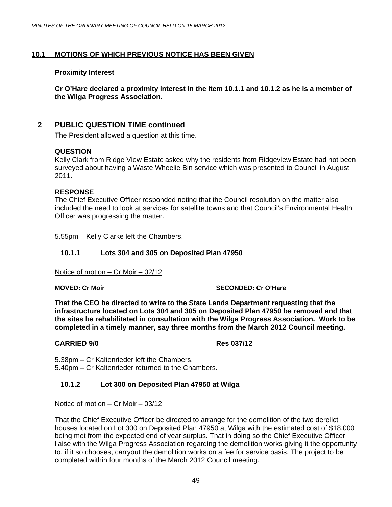# <span id="page-48-0"></span>**10.1 MOTIONS OF WHICH PREVIOUS NOTICE HAS BEEN GIVEN**

#### **Proximity Interest**

**Cr O'Hare declared a proximity interest in the item 10.1.1 and 10.1.2 as he is a member of the Wilga Progress Association.** 

# **2 PUBLIC QUESTION TIME continued**

The President allowed a question at this time.

#### **QUESTION**

Kelly Clark from Ridge View Estate asked why the residents from Ridgeview Estate had not been surveyed about having a Waste Wheelie Bin service which was presented to Council in August 2011.

#### **RESPONSE**

The Chief Executive Officer responded noting that the Council resolution on the matter also included the need to look at services for satellite towns and that Council's Environmental Health Officer was progressing the matter.

5.55pm – Kelly Clarke left the Chambers.

# **10.1.1 Lots 304 and 305 on Deposited Plan 47950**

Notice of motion – Cr Moir – 02/12

**MOVED: Cr Moir**  $\qquad \qquad$  **SECONDED: Cr O'Hare** 

**That the CEO be directed to write to the State Lands Department requesting that the infrastructure located on Lots 304 and 305 on Deposited Plan 47950 be removed and that the sites be rehabilitated in consultation with the Wilga Progress Association. Work to be completed in a timely manner, say three months from the March 2012 Council meeting.**

#### **CARRIED 9/0 Res 037/12**

5.38pm – Cr Kaltenrieder left the Chambers.

5.40pm – Cr Kaltenrieder returned to the Chambers.

#### **10.1.2 Lot 300 on Deposited Plan 47950 at Wilga**

Notice of motion – Cr Moir – 03/12

That the Chief Executive Officer be directed to arrange for the demolition of the two derelict houses located on Lot 300 on Deposited Plan 47950 at Wilga with the estimated cost of \$18,000 being met from the expected end of year surplus. That in doing so the Chief Executive Officer liaise with the Wilga Progress Association regarding the demolition works giving it the opportunity to, if it so chooses, carryout the demolition works on a fee for service basis. The project to be completed within four months of the March 2012 Council meeting.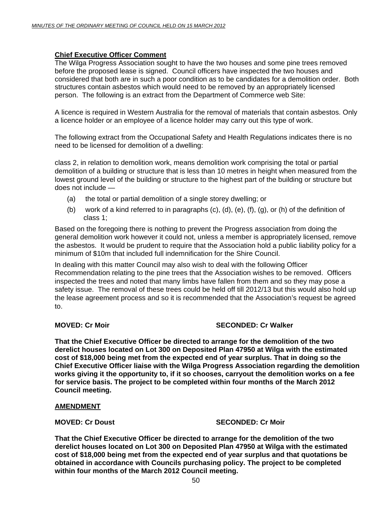# **Chief Executive Officer Comment**

The Wilga Progress Association sought to have the two houses and some pine trees removed before the proposed lease is signed. Council officers have inspected the two houses and considered that both are in such a poor condition as to be candidates for a demolition order. Both structures contain asbestos which would need to be removed by an appropriately licensed person. The following is an extract from the Department of Commerce web Site:

A licence is required in Western Australia for the removal of materials that contain asbestos. Only a licence holder or an employee of a licence holder may carry out this type of work.

The following extract from the Occupational Safety and Health Regulations indicates there is no need to be licensed for demolition of a dwelling:

class 2, in relation to demolition work, means demolition work comprising the total or partial demolition of a building or structure that is less than 10 metres in height when measured from the lowest ground level of the building or structure to the highest part of the building or structure but does not include —

- (a) the total or partial demolition of a single storey dwelling; or
- (b) work of a kind referred to in paragraphs  $(c)$ ,  $(d)$ ,  $(e)$ ,  $(f)$ ,  $(g)$ , or  $(h)$  of the definition of class 1;

Based on the foregoing there is nothing to prevent the Progress association from doing the general demolition work however it could not, unless a member is appropriately licensed, remove the asbestos. It would be prudent to require that the Association hold a public liability policy for a minimum of \$10m that included full indemnification for the Shire Council.

In dealing with this matter Council may also wish to deal with the following Officer Recommendation relating to the pine trees that the Association wishes to be removed. Officers inspected the trees and noted that many limbs have fallen from them and so they may pose a safety issue. The removal of these trees could be held off till 2012/13 but this would also hold up the lease agreement process and so it is recommended that the Association's request be agreed to.

#### **MOVED: Cr Moir** SECONDED: Cr Walker

**That the Chief Executive Officer be directed to arrange for the demolition of the two derelict houses located on Lot 300 on Deposited Plan 47950 at Wilga with the estimated cost of \$18,000 being met from the expected end of year surplus. That in doing so the Chief Executive Officer liaise with the Wilga Progress Association regarding the demolition works giving it the opportunity to, if it so chooses, carryout the demolition works on a fee for service basis. The project to be completed within four months of the March 2012 Council meeting.** 

#### **AMENDMENT**

#### **MOVED: Cr Doust SECONDED: Cr Moir and SECONDED: Cr Moir**

**That the Chief Executive Officer be directed to arrange for the demolition of the two derelict houses located on Lot 300 on Deposited Plan 47950 at Wilga with the estimated cost of \$18,000 being met from the expected end of year surplus and that quotations be obtained in accordance with Councils purchasing policy. The project to be completed within four months of the March 2012 Council meeting.**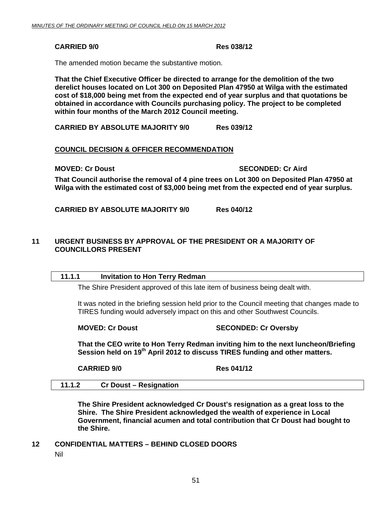# <span id="page-50-0"></span> **CARRIED 9/0 Res 038/12**

The amended motion became the substantive motion.

**That the Chief Executive Officer be directed to arrange for the demolition of the two derelict houses located on Lot 300 on Deposited Plan 47950 at Wilga with the estimated cost of \$18,000 being met from the expected end of year surplus and that quotations be obtained in accordance with Councils purchasing policy. The project to be completed within four months of the March 2012 Council meeting.** 

 **CARRIED BY ABSOLUTE MAJORITY 9/0 Res 039/12** 

### **COUNCIL DECISION & OFFICER RECOMMENDATION**

**MOVED: Cr Doust SECONDED: Cr Aird 3** 

**That Council authorise the removal of 4 pine trees on Lot 300 on Deposited Plan 47950 at Wilga with the estimated cost of \$3,000 being met from the expected end of year surplus.** 

**CARRIED BY ABSOLUTE MAJORITY 9/0 Res 040/12** 

# **11 URGENT BUSINESS BY APPROVAL OF THE PRESIDENT OR A MAJORITY OF COUNCILLORS PRESENT**

#### **11.1.1 Invitation to Hon Terry Redman**

The Shire President approved of this late item of business being dealt with.

 It was noted in the briefing session held prior to the Council meeting that changes made to TIRES funding would adversely impact on this and other Southwest Councils.

**MOVED: Cr Doust SECONDED: Cr Oversby** 

**That the CEO write to Hon Terry Redman inviting him to the next luncheon/Briefing**  Session held on 19<sup>th</sup> April 2012 to discuss TIRES funding and other matters.

**CARRIED 9/0 Res 041/12** 

#### **11.1.2 Cr Doust – Resignation**

**The Shire President acknowledged Cr Doust's resignation as a great loss to the Shire. The Shire President acknowledged the wealth of experience in Local Government, financial acumen and total contribution that Cr Doust had bought to the Shire.** 

**12 CONFIDENTIAL MATTERS – BEHIND CLOSED DOORS** 

Nil